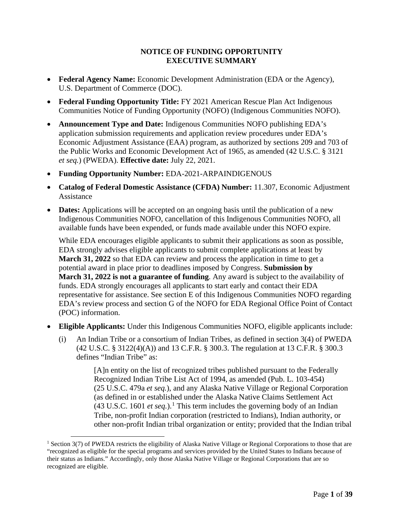### **NOTICE OF FUNDING OPPORTUNITY EXECUTIVE SUMMARY**

- **Federal Agency Name:** Economic Development Administration (EDA or the Agency), U.S. Department of Commerce (DOC).
- **Federal Funding Opportunity Title:** FY 2021 American Rescue Plan Act Indigenous Communities Notice of Funding Opportunity (NOFO) (Indigenous Communities NOFO).
- **Announcement Type and Date:** Indigenous Communities NOFO publishing EDA's application submission requirements and application review procedures under EDA's Economic Adjustment Assistance (EAA) program, as authorized by sections 209 and 703 of the Public Works and Economic Development Act of 1965, as amended (42 U.S.C. § 3121 *et seq.*) (PWEDA). **Effective date:** July 22, 2021.
- **Funding Opportunity Number:** EDA-2021-ARPAINDIGENOUS
- **Catalog of Federal Domestic Assistance (CFDA) Number:** 11.307, Economic Adjustment Assistance
- **Dates:** Applications will be accepted on an ongoing basis until the publication of a new Indigenous Communities NOFO, cancellation of this Indigenous Communities NOFO, all available funds have been expended, or funds made available under this NOFO expire.

While EDA encourages eligible applicants to submit their applications as soon as possible, EDA strongly advises eligible applicants to submit complete applications at least by **March 31, 2022** so that EDA can review and process the application in time to get a potential award in place prior to deadlines imposed by Congress. **Submission by March 31, 2022 is not a guarantee of funding**. Any award is subject to the availability of funds. EDA strongly encourages all applicants to start early and contact their EDA representative for assistance. See section E of this Indigenous Communities NOFO regarding EDA's review process and section G of the NOFO for EDA Regional Office Point of Contact (POC) information.

- **Eligible Applicants:** Under this Indigenous Communities NOFO, eligible applicants include:
	- (i) An Indian Tribe or a consortium of Indian Tribes, as defined in section 3(4) of PWEDA (42 U.S.C. § 3122(4)(A)) and 13 C.F.R. § 300.3. The regulation at 13 C.F.R. § 300.3 defines "Indian Tribe" as:

[A]n entity on the list of recognized tribes published pursuant to the Federally Recognized Indian Tribe List Act of 1994, as amended (Pub. L. 103-454) (25 U.S.C. 479a *et seq.*), and any Alaska Native Village or Regional Corporation (as defined in or established under the Alaska Native Claims Settlement Act  $(43 \text{ U.S.C. } 1601 \text{ et seq.})$  $(43 \text{ U.S.C. } 1601 \text{ et seq.})$  $(43 \text{ U.S.C. } 1601 \text{ et seq.})$ <sup>1</sup> This term includes the governing body of an Indian Tribe, non-profit Indian corporation (restricted to Indians), Indian authority, or other non-profit Indian tribal organization or entity; provided that the Indian tribal

<span id="page-0-0"></span><sup>&</sup>lt;sup>1</sup> Section 3(7) of PWEDA restricts the eligibility of Alaska Native Village or Regional Corporations to those that are "recognized as eligible for the special programs and services provided by the United States to Indians because of their status as Indians." Accordingly, only those Alaska Native Village or Regional Corporations that are so recognized are eligible.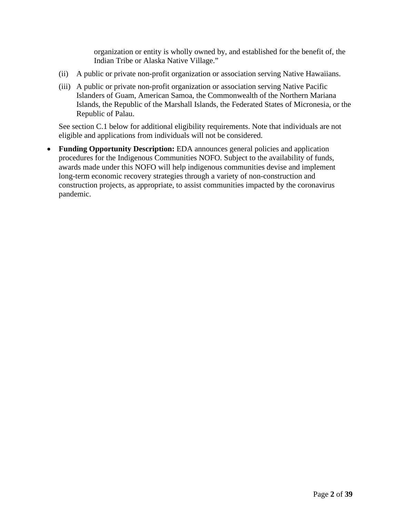organization or entity is wholly owned by, and established for the benefit of, the Indian Tribe or Alaska Native Village."

- (ii) A public or private non-profit organization or association serving Native Hawaiians.
- (iii) A public or private non-profit organization or association serving Native Pacific Islanders of Guam, American Samoa, the Commonwealth of the Northern Mariana Islands, the Republic of the Marshall Islands, the Federated States of Micronesia, or the Republic of Palau.

See section C.1 below for additional eligibility requirements. Note that individuals are not eligible and applications from individuals will not be considered.

• **Funding Opportunity Description:** EDA announces general policies and application procedures for the Indigenous Communities NOFO. Subject to the availability of funds, awards made under this NOFO will help indigenous communities devise and implement long-term economic recovery strategies through a variety of non-construction and construction projects, as appropriate, to assist communities impacted by the coronavirus pandemic.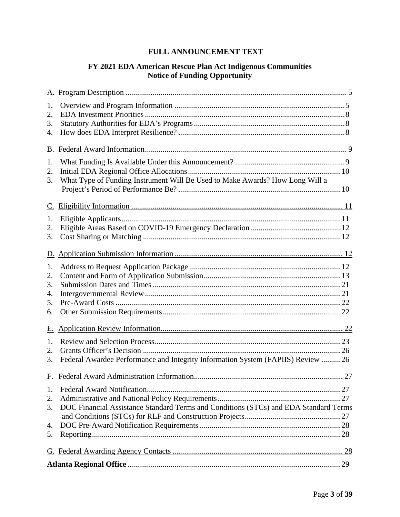# **FULL ANNOUNCEMENT TEXT**

# **FY 2021 EDA American Rescue Plan Act Indigenous Communities Notice of Funding Opportunity**

| 1.        |                                                                                      |  |  |
|-----------|--------------------------------------------------------------------------------------|--|--|
| 2.        |                                                                                      |  |  |
| 3.        |                                                                                      |  |  |
| 4.        |                                                                                      |  |  |
| B.        |                                                                                      |  |  |
| 1.        |                                                                                      |  |  |
| 2.        |                                                                                      |  |  |
| 3.        | What Type of Funding Instrument Will Be Used to Make Awards? How Long Will a         |  |  |
|           |                                                                                      |  |  |
| C.        |                                                                                      |  |  |
| 1.        |                                                                                      |  |  |
| 2.        |                                                                                      |  |  |
| 3.        |                                                                                      |  |  |
|           |                                                                                      |  |  |
| D.        |                                                                                      |  |  |
| 1.        |                                                                                      |  |  |
| 2.        |                                                                                      |  |  |
| 3.        |                                                                                      |  |  |
| 4.        |                                                                                      |  |  |
| 5.        |                                                                                      |  |  |
| 6.        |                                                                                      |  |  |
| <u>E.</u> |                                                                                      |  |  |
| 1.        |                                                                                      |  |  |
| 2.        |                                                                                      |  |  |
| 3.        | Federal Awardee Performance and Integrity Information System (FAPIIS) Review 26      |  |  |
|           |                                                                                      |  |  |
|           | F. Federal Award Administration Information<br>$27$                                  |  |  |
| 1.        |                                                                                      |  |  |
| 2.        |                                                                                      |  |  |
| 3.        | DOC Financial Assistance Standard Terms and Conditions (STCs) and EDA Standard Terms |  |  |
|           |                                                                                      |  |  |
| 4.        |                                                                                      |  |  |
| 5.        |                                                                                      |  |  |
|           |                                                                                      |  |  |
|           |                                                                                      |  |  |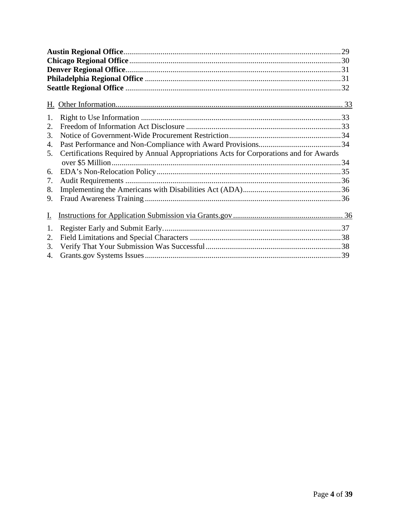| 1. |                                                                                       |  |  |
|----|---------------------------------------------------------------------------------------|--|--|
| 2. |                                                                                       |  |  |
| 3. |                                                                                       |  |  |
| 4. |                                                                                       |  |  |
| 5. | Certifications Required by Annual Appropriations Acts for Corporations and for Awards |  |  |
|    |                                                                                       |  |  |
| 6. |                                                                                       |  |  |
| 7. |                                                                                       |  |  |
| 8. |                                                                                       |  |  |
| 9. |                                                                                       |  |  |
| I. |                                                                                       |  |  |
| 1. |                                                                                       |  |  |
| 2. |                                                                                       |  |  |
| 3. |                                                                                       |  |  |
| 4. |                                                                                       |  |  |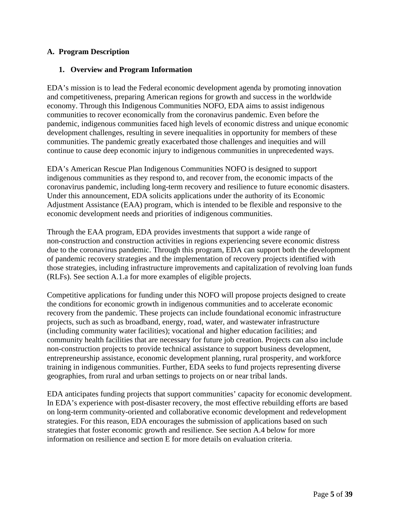### <span id="page-4-0"></span>**A. Program Description**

### <span id="page-4-1"></span>**1. Overview and Program Information**

EDA's mission is to lead the Federal economic development agenda by promoting innovation and competitiveness, preparing American regions for growth and success in the worldwide economy. Through this Indigenous Communities NOFO, EDA aims to assist indigenous communities to recover economically from the coronavirus pandemic. Even before the pandemic, indigenous communities faced high levels of economic distress and unique economic development challenges, resulting in severe inequalities in opportunity for members of these communities. The pandemic greatly exacerbated those challenges and inequities and will continue to cause deep economic injury to indigenous communities in unprecedented ways.

EDA's American Rescue Plan Indigenous Communities NOFO is designed to support indigenous communities as they respond to, and recover from, the economic impacts of the coronavirus pandemic, including long-term recovery and resilience to future economic disasters. Under this announcement, EDA solicits applications under the authority of its Economic Adjustment Assistance (EAA) program, which is intended to be flexible and responsive to the economic development needs and priorities of indigenous communities.

Through the EAA program, EDA provides investments that support a wide range of non-construction and construction activities in regions experiencing severe economic distress due to the coronavirus pandemic. Through this program, EDA can support both the development of pandemic recovery strategies and the implementation of recovery projects identified with those strategies, including infrastructure improvements and capitalization of revolving loan funds (RLFs). See section A.1.a for more examples of eligible projects.

Competitive applications for funding under this NOFO will propose projects designed to create the conditions for economic growth in indigenous communities and to accelerate economic recovery from the pandemic. These projects can include foundational economic infrastructure projects, such as such as broadband, energy, road, water, and wastewater infrastructure (including community water facilities); vocational and higher education facilities; and community health facilities that are necessary for future job creation. Projects can also include non-construction projects to provide technical assistance to support business development, entrepreneurship assistance, economic development planning, rural prosperity, and workforce training in indigenous communities. Further, EDA seeks to fund projects representing diverse geographies, from rural and urban settings to projects on or near tribal lands.

EDA anticipates funding projects that support communities' capacity for economic development. In EDA's experience with post-disaster recovery, the most effective rebuilding efforts are based on long-term community-oriented and collaborative economic development and redevelopment strategies. For this reason, EDA encourages the submission of applications based on such strategies that foster economic growth and resilience. See section A.4 below for more information on resilience and section E for more details on evaluation criteria.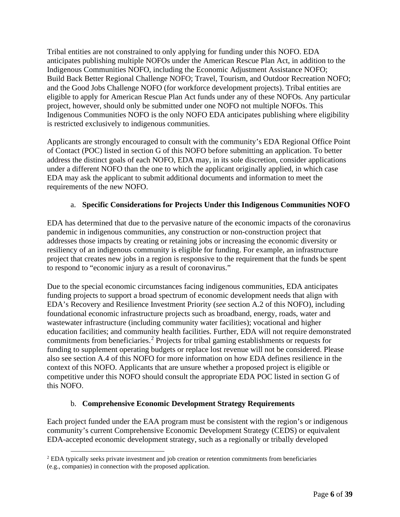Tribal entities are not constrained to only applying for funding under this NOFO. EDA anticipates publishing multiple NOFOs under the American Rescue Plan Act, in addition to the Indigenous Communities NOFO, including the Economic Adjustment Assistance NOFO; Build Back Better Regional Challenge NOFO; Travel, Tourism, and Outdoor Recreation NOFO; and the Good Jobs Challenge NOFO (for workforce development projects). Tribal entities are eligible to apply for American Rescue Plan Act funds under any of these NOFOs. Any particular project, however, should only be submitted under one NOFO not multiple NOFOs. This Indigenous Communities NOFO is the only NOFO EDA anticipates publishing where eligibility is restricted exclusively to indigenous communities.

Applicants are strongly encouraged to consult with the community's EDA Regional Office Point of Contact (POC) listed in section G of this NOFO before submitting an application. To better address the distinct goals of each NOFO, EDA may, in its sole discretion, consider applications under a different NOFO than the one to which the applicant originally applied, in which case EDA may ask the applicant to submit additional documents and information to meet the requirements of the new NOFO.

### a. **Specific Considerations for Projects Under this Indigenous Communities NOFO**

EDA has determined that due to the pervasive nature of the economic impacts of the coronavirus pandemic in indigenous communities, any construction or non-construction project that addresses those impacts by creating or retaining jobs or increasing the economic diversity or resiliency of an indigenous community is eligible for funding. For example, an infrastructure project that creates new jobs in a region is responsive to the requirement that the funds be spent to respond to "economic injury as a result of coronavirus."

Due to the special economic circumstances facing indigenous communities, EDA anticipates funding projects to support a broad spectrum of economic development needs that align with EDA's Recovery and Resilience Investment Priority (*see* section A.2 of this NOFO), including foundational economic infrastructure projects such as broadband, energy, roads, water and wastewater infrastructure (including community water facilities); vocational and higher education facilities; and community health facilities. Further, EDA will not require demonstrated commitments from beneficiaries.<sup>[2](#page-5-0)</sup> Projects for tribal gaming establishments or requests for funding to supplement operating budgets or replace lost revenue will not be considered. Please also see section A.4 of this NOFO for more information on how EDA defines resilience in the context of this NOFO. Applicants that are unsure whether a proposed project is eligible or competitive under this NOFO should consult the appropriate EDA POC listed in section G of this NOFO.

### b. **Comprehensive Economic Development Strategy Requirements**

Each project funded under the EAA program must be consistent with the region's or indigenous community's current Comprehensive Economic Development Strategy (CEDS) or equivalent EDA-accepted economic development strategy, such as a regionally or tribally developed

<span id="page-5-0"></span><sup>2</sup> EDA typically seeks private investment and job creation or retention commitments from beneficiaries (e.g., companies) in connection with the proposed application.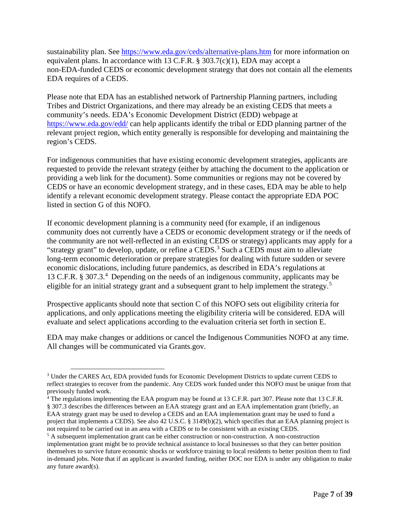sustainability plan. See<https://www.eda.gov/ceds/alternative-plans.htm> for more information on equivalent plans. In accordance with 13 C.F.R. § 303.7(c)(1), EDA may accept a non-EDA-funded CEDS or economic development strategy that does not contain all the elements EDA requires of a CEDS.

Please note that EDA has an established network of Partnership Planning partners, including Tribes and District Organizations, and there may already be an existing CEDS that meets a community's needs. EDA's Economic Development District (EDD) webpage at <https://www.eda.gov/edd/> can help applicants identify the tribal or EDD planning partner of the relevant project region, which entity generally is responsible for developing and maintaining the region's CEDS.

For indigenous communities that have existing economic development strategies, applicants are requested to provide the relevant strategy (either by attaching the document to the application or providing a web link for the document). Some communities or regions may not be covered by CEDS or have an economic development strategy, and in these cases, EDA may be able to help identify a relevant economic development strategy. Please contact the appropriate EDA POC listed in section G of this NOFO.

If economic development planning is a community need (for example, if an indigenous community does not currently have a CEDS or economic development strategy or if the needs of the community are not well-reflected in an existing CEDS or strategy) applicants may apply for a "strategy grant" to develop, update, or refine a CEDS.<sup>[3](#page-6-0)</sup> Such a CEDS must aim to alleviate long-term economic deterioration or prepare strategies for dealing with future sudden or severe economic dislocations, including future pandemics, as described in EDA's regulations at 13 C.F.R. § 307.3.[4](#page-6-1) Depending on the needs of an indigenous community, applicants may be eligible for an initial strategy grant and a subsequent grant to help implement the strategy.<sup>[5](#page-6-2)</sup>

Prospective applicants should note that section C of this NOFO sets out eligibility criteria for applications, and only applications meeting the eligibility criteria will be considered. EDA will evaluate and select applications according to the evaluation criteria set forth in section E.

EDA may make changes or additions or cancel the Indigenous Communities NOFO at any time. All changes will be communicated via Grants.gov.

<span id="page-6-0"></span><sup>3</sup> Under the CARES Act, EDA provided funds for Economic Development Districts to update current CEDS to reflect strategies to recover from the pandemic. Any CEDS work funded under this NOFO must be unique from that previously funded work.

<span id="page-6-1"></span><sup>&</sup>lt;sup>4</sup> The regulations implementing the EAA program may be found at 13 C.F.R. part 307. Please note that 13 C.F.R. § 307.3 describes the differences between an EAA strategy grant and an EAA implementation grant (briefly, an EAA strategy grant may be used to develop a CEDS and an EAA implementation grant may be used to fund a project that implements a CEDS). See also 42 U.S.C. § 3149(b)(2), which specifies that an EAA planning project is not required to be carried out in an area with a CEDS or to be consistent with an existing CEDS.

<span id="page-6-2"></span><sup>5</sup> A subsequent implementation grant can be either construction or non-construction. A non-construction implementation grant might be to provide technical assistance to local businesses so that they can better position themselves to survive future economic shocks or workforce training to local residents to better position them to find in-demand jobs. Note that if an applicant is awarded funding, neither DOC nor EDA is under any obligation to make any future award(s).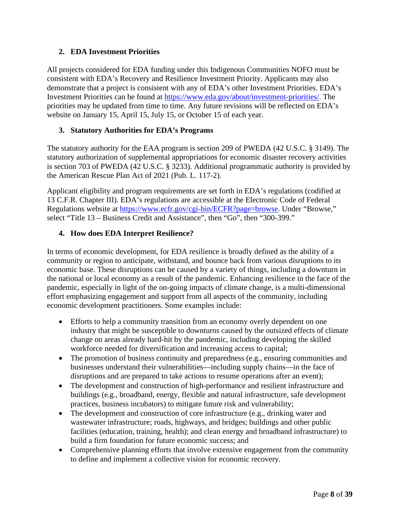### <span id="page-7-0"></span>**2. EDA Investment Priorities**

All projects considered for EDA funding under this Indigenous Communities NOFO must be consistent with EDA's Recovery and Resilience Investment Priority. Applicants may also demonstrate that a project is consistent with any of EDA's other Investment Priorities. EDA's Investment Priorities can be found at [https://www.eda.gov/about/investment-priorities/.](https://www.eda.gov/about/investment-priorities/) The priorities may be updated from time to time. Any future revisions will be reflected on EDA's website on January 15, April 15, July 15, or October 15 of each year.

## <span id="page-7-1"></span>**3. Statutory Authorities for EDA's Programs**

The statutory authority for the EAA program is section 209 of PWEDA (42 U.S.C. § 3149). The statutory authorization of supplemental appropriations for economic disaster recovery activities is section 703 of PWEDA (42 U.S.C. § 3233). Additional programmatic authority is provided by the American Rescue Plan Act of 2021 (Pub. L. 117-2).

Applicant eligibility and program requirements are set forth in EDA's regulations (codified at 13 C.F.R. Chapter III). EDA's regulations are accessible at the Electronic Code of Federal Regulations website at [https://www.ecfr.gov/cgi-bin/ECFR?page=browse.](https://www.ecfr.gov/cgi-bin/ECFR?page=browse) Under "Browse," select "Title 13 – Business Credit and Assistance", then "Go", then "300-399."

## <span id="page-7-2"></span>**4. How does EDA Interpret Resilience?**

In terms of economic development, for EDA resilience is broadly defined as the ability of a community or region to anticipate, withstand, and bounce back from various disruptions to its economic base. These disruptions can be caused by a variety of things, including a downturn in the national or local economy as a result of the pandemic. Enhancing resilience in the face of the pandemic, especially in light of the on-going impacts of climate change, is a multi-dimensional effort emphasizing engagement and support from all aspects of the community, including economic development practitioners. Some examples include:

- Efforts to help a community transition from an economy overly dependent on one industry that might be susceptible to downturns caused by the outsized effects of climate change on areas already hard-hit by the pandemic, including developing the skilled workforce needed for diversification and increasing access to capital;
- The promotion of business continuity and preparedness (e.g., ensuring communities and businesses understand their vulnerabilities—including supply chains—in the face of disruptions and are prepared to take actions to resume operations after an event);
- The development and construction of high-performance and resilient infrastructure and buildings (e.g., broadband, energy, flexible and natural infrastructure, safe development practices, business incubators) to mitigate future risk and vulnerability;
- The development and construction of core infrastructure (e.g., drinking water and wastewater infrastructure; roads, highways, and bridges; buildings and other public facilities (education, training, health); and clean energy and broadband infrastructure) to build a firm foundation for future economic success; and
- Comprehensive planning efforts that involve extensive engagement from the community to define and implement a collective vision for economic recovery.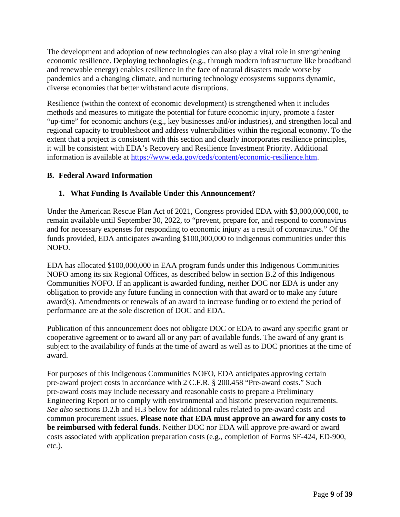The development and adoption of new technologies can also play a vital role in strengthening economic resilience. Deploying technologies (e.g., through modern infrastructure like broadband and renewable energy) enables resilience in the face of natural disasters made worse by pandemics and a changing climate, and nurturing technology ecosystems supports dynamic, diverse economies that better withstand acute disruptions.

Resilience (within the context of economic development) is strengthened when it includes methods and measures to mitigate the potential for future economic injury, promote a faster "up-time" for economic anchors (e.g., key businesses and/or industries), and strengthen local and regional capacity to troubleshoot and address vulnerabilities within the regional economy. To the extent that a project is consistent with this section and clearly incorporates resilience principles, it will be consistent with EDA's Recovery and Resilience Investment Priority. Additional information is available at [https://www.eda.gov/ceds/content/economic-resilience.htm.](https://www.eda.gov/ceds/content/economic-resilience.htm)

### <span id="page-8-0"></span>**B. Federal Award Information**

## <span id="page-8-1"></span>**1. What Funding Is Available Under this Announcement?**

Under the American Rescue Plan Act of 2021, Congress provided EDA with \$3,000,000,000, to remain available until September 30, 2022, to "prevent, prepare for, and respond to coronavirus and for necessary expenses for responding to economic injury as a result of coronavirus." Of the funds provided, EDA anticipates awarding \$100,000,000 to indigenous communities under this NOFO.

EDA has allocated \$100,000,000 in EAA program funds under this Indigenous Communities NOFO among its six Regional Offices, as described below in section B.2 of this Indigenous Communities NOFO. If an applicant is awarded funding, neither DOC nor EDA is under any obligation to provide any future funding in connection with that award or to make any future award(s). Amendments or renewals of an award to increase funding or to extend the period of performance are at the sole discretion of DOC and EDA.

Publication of this announcement does not obligate DOC or EDA to award any specific grant or cooperative agreement or to award all or any part of available funds. The award of any grant is subject to the availability of funds at the time of award as well as to DOC priorities at the time of award.

For purposes of this Indigenous Communities NOFO, EDA anticipates approving certain pre-award project costs in accordance with 2 C.F.R. § 200.458 "Pre-award costs." Such pre-award costs may include necessary and reasonable costs to prepare a Preliminary Engineering Report or to comply with environmental and historic preservation requirements. *See also* sections D.2.b and H.3 below for additional rules related to pre-award costs and common procurement issues. **Please note that EDA must approve an award for any costs to be reimbursed with federal funds**. Neither DOC nor EDA will approve pre-award or award costs associated with application preparation costs (e.g., completion of Forms SF-424, ED-900, etc.).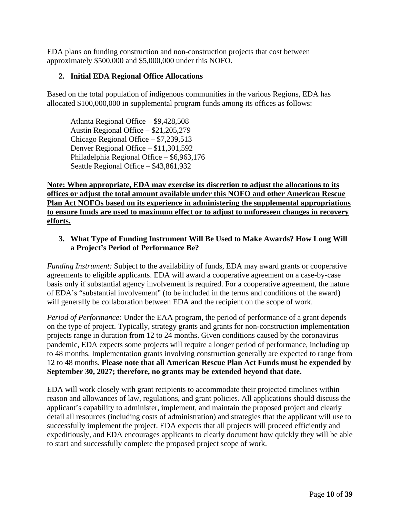EDA plans on funding construction and non-construction projects that cost between approximately \$500,000 and \$5,000,000 under this NOFO.

### <span id="page-9-0"></span>**2. Initial EDA Regional Office Allocations**

Based on the total population of indigenous communities in the various Regions, EDA has allocated \$100,000,000 in supplemental program funds among its offices as follows:

Atlanta Regional Office – \$9,428,508 Austin Regional Office – \$21,205,279 Chicago Regional Office – \$7,239,513 Denver Regional Office – \$11,301,592 Philadelphia Regional Office – \$6,963,176 Seattle Regional Office – \$43,861,932

**Note: When appropriate, EDA may exercise its discretion to adjust the allocations to its offices or adjust the total amount available under this NOFO and other American Rescue Plan Act NOFOs based on its experience in administering the supplemental appropriations to ensure funds are used to maximum effect or to adjust to unforeseen changes in recovery efforts.**

### <span id="page-9-1"></span>**3. What Type of Funding Instrument Will Be Used to Make Awards? How Long Will a Project's Period of Performance Be?**

*Funding Instrument:* Subject to the availability of funds, EDA may award grants or cooperative agreements to eligible applicants. EDA will award a cooperative agreement on a case-by-case basis only if substantial agency involvement is required. For a cooperative agreement, the nature of EDA's "substantial involvement" (to be included in the terms and conditions of the award) will generally be collaboration between EDA and the recipient on the scope of work.

*Period of Performance:* Under the EAA program, the period of performance of a grant depends on the type of project. Typically, strategy grants and grants for non-construction implementation projects range in duration from 12 to 24 months. Given conditions caused by the coronavirus pandemic, EDA expects some projects will require a longer period of performance, including up to 48 months. Implementation grants involving construction generally are expected to range from 12 to 48 months. **Please note that all American Rescue Plan Act Funds must be expended by September 30, 2027; therefore, no grants may be extended beyond that date.**

EDA will work closely with grant recipients to accommodate their projected timelines within reason and allowances of law, regulations, and grant policies. All applications should discuss the applicant's capability to administer, implement, and maintain the proposed project and clearly detail all resources (including costs of administration) and strategies that the applicant will use to successfully implement the project. EDA expects that all projects will proceed efficiently and expeditiously, and EDA encourages applicants to clearly document how quickly they will be able to start and successfully complete the proposed project scope of work.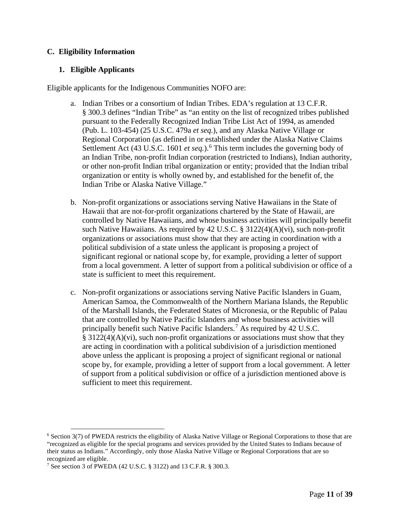### <span id="page-10-0"></span>**C. Eligibility Information**

### <span id="page-10-1"></span>**1. Eligible Applicants**

Eligible applicants for the Indigenous Communities NOFO are:

- a. Indian Tribes or a consortium of Indian Tribes. EDA's regulation at 13 C.F.R. § 300.3 defines "Indian Tribe" as "an entity on the list of recognized tribes published pursuant to the Federally Recognized Indian Tribe List Act of 1994, as amended (Pub. L. 103-454) (25 U.S.C. 479a *et seq.*), and any Alaska Native Village or Regional Corporation (as defined in or established under the Alaska Native Claims Settlement Act (43 U.S.C. 1[6](#page-10-2)01 *et seq.*).<sup>6</sup> This term includes the governing body of an Indian Tribe, non-profit Indian corporation (restricted to Indians), Indian authority, or other non-profit Indian tribal organization or entity; provided that the Indian tribal organization or entity is wholly owned by, and established for the benefit of, the Indian Tribe or Alaska Native Village."
- b. Non-profit organizations or associations serving Native Hawaiians in the State of Hawaii that are not-for-profit organizations chartered by the State of Hawaii, are controlled by Native Hawaiians, and whose business activities will principally benefit such Native Hawaiians. As required by 42 U.S.C. § 3122(4)(A)(vi), such non-profit organizations or associations must show that they are acting in coordination with a political subdivision of a state unless the applicant is proposing a project of significant regional or national scope by, for example, providing a letter of support from a local government. A letter of support from a political subdivision or office of a state is sufficient to meet this requirement.
- c. Non-profit organizations or associations serving Native Pacific Islanders in Guam, American Samoa, the Commonwealth of the Northern Mariana Islands, the Republic of the Marshall Islands, the Federated States of Micronesia, or the Republic of Palau that are controlled by Native Pacific Islanders and whose business activities will principally benefit such Native Pacific Islanders.[7](#page-10-3) As required by 42 U.S.C. § 3122(4)(A)(vi), such non-profit organizations or associations must show that they are acting in coordination with a political subdivision of a jurisdiction mentioned above unless the applicant is proposing a project of significant regional or national scope by, for example, providing a letter of support from a local government. A letter of support from a political subdivision or office of a jurisdiction mentioned above is sufficient to meet this requirement.

<span id="page-10-2"></span> $6$  Section 3(7) of PWEDA restricts the eligibility of Alaska Native Village or Regional Corporations to those that are "recognized as eligible for the special programs and services provided by the United States to Indians because of their status as Indians." Accordingly, only those Alaska Native Village or Regional Corporations that are so recognized are eligible.

<span id="page-10-3"></span><sup>7</sup> See section 3 of PWEDA (42 U.S.C. § 3122) and 13 C.F.R. § 300.3.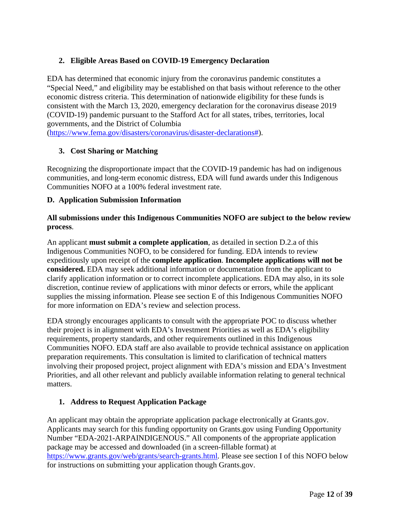## <span id="page-11-0"></span>**2. Eligible Areas Based on COVID-19 Emergency Declaration**

EDA has determined that economic injury from the coronavirus pandemic constitutes a "Special Need," and eligibility may be established on that basis without reference to the other economic distress criteria. This determination of nationwide eligibility for these funds is consistent with the March 13, 2020, emergency declaration for the coronavirus disease 2019 (COVID-19) pandemic pursuant to the Stafford Act for all states, tribes, territories, local governments, and the District of Columbia

[\(https://www.fema.gov/disasters/coronavirus/disaster-declarations#\)](https://www.fema.gov/disasters/coronavirus/disaster-declarations).

## <span id="page-11-1"></span>**3. Cost Sharing or Matching**

Recognizing the disproportionate impact that the COVID-19 pandemic has had on indigenous communities, and long-term economic distress, EDA will fund awards under this Indigenous Communities NOFO at a 100% federal investment rate.

### <span id="page-11-2"></span>**D. Application Submission Information**

### **All submissions under this Indigenous Communities NOFO are subject to the below review process**.

An applicant **must submit a complete application**, as detailed in section D.2.a of this Indigenous Communities NOFO, to be considered for funding. EDA intends to review expeditiously upon receipt of the **complete application**. **Incomplete applications will not be considered.** EDA may seek additional information or documentation from the applicant to clarify application information or to correct incomplete applications. EDA may also, in its sole discretion, continue review of applications with minor defects or errors, while the applicant supplies the missing information. Please see section E of this Indigenous Communities NOFO for more information on EDA's review and selection process.

EDA strongly encourages applicants to consult with the appropriate POC to discuss whether their project is in alignment with EDA's Investment Priorities as well as EDA's eligibility requirements, property standards, and other requirements outlined in this Indigenous Communities NOFO. EDA staff are also available to provide technical assistance on application preparation requirements. This consultation is limited to clarification of technical matters involving their proposed project, project alignment with EDA's mission and EDA's Investment Priorities, and all other relevant and publicly available information relating to general technical matters.

### <span id="page-11-3"></span>**1. Address to Request Application Package**

An applicant may obtain the appropriate application package electronically at Grants.gov. Applicants may search for this funding opportunity on Grants.gov using Funding Opportunity Number "EDA-2021-ARPAINDIGENOUS." All components of the appropriate application package may be accessed and downloaded (in a screen-fillable format) at [https://www.grants.gov/web/grants/search-grants.html.](https://www.grants.gov/web/grants/search-grants.html) Please see section I of this NOFO below for instructions on submitting your application though Grants.gov.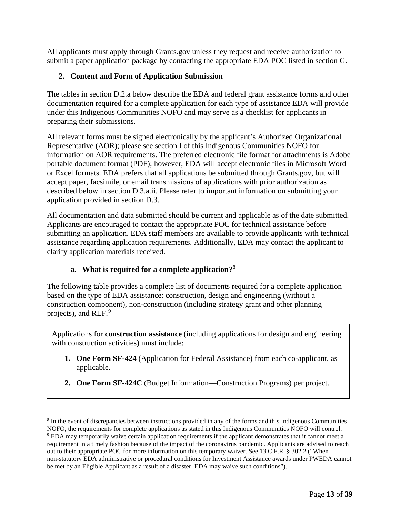All applicants must apply through Grants.gov unless they request and receive authorization to submit a paper application package by contacting the appropriate EDA POC listed in section G.

## <span id="page-12-0"></span>**2. Content and Form of Application Submission**

The tables in section D.2.a below describe the EDA and federal grant assistance forms and other documentation required for a complete application for each type of assistance EDA will provide under this Indigenous Communities NOFO and may serve as a checklist for applicants in preparing their submissions.

All relevant forms must be signed electronically by the applicant's Authorized Organizational Representative (AOR); please see section I of this Indigenous Communities NOFO for information on AOR requirements. The preferred electronic file format for attachments is Adobe portable document format (PDF); however, EDA will accept electronic files in Microsoft Word or Excel formats. EDA prefers that all applications be submitted through Grants.gov, but will accept paper, facsimile, or email transmissions of applications with prior authorization as described below in section D.3.a.ii. Please refer to important information on submitting your application provided in section D.3.

All documentation and data submitted should be current and applicable as of the date submitted. Applicants are encouraged to contact the appropriate POC for technical assistance before submitting an application. EDA staff members are available to provide applicants with technical assistance regarding application requirements. Additionally, EDA may contact the applicant to clarify application materials received.

### **a. What is required for a complete application?**[8](#page-12-1)

The following table provides a complete list of documents required for a complete application based on the type of EDA assistance: construction, design and engineering (without a construction component), non-construction (including strategy grant and other planning projects), and RLF.<sup>[9](#page-12-2)</sup>

Applications for **construction assistance** (including applications for design and engineering with construction activities) must include:

- **1. One Form SF-424** (Application for Federal Assistance) from each co-applicant, as applicable.
- **2. One Form SF-424C** (Budget Information—Construction Programs) per project.

<span id="page-12-2"></span><span id="page-12-1"></span><sup>8</sup> In the event of discrepancies between instructions provided in any of the forms and this Indigenous Communities NOFO, the requirements for complete applications as stated in this Indigenous Communities NOFO will control. <sup>9</sup> EDA may temporarily waive certain application requirements if the applicant demonstrates that it cannot meet a requirement in a timely fashion because of the impact of the coronavirus pandemic. Applicants are advised to reach out to their appropriate POC for more information on this temporary waiver. See 13 C.F.R. § 302.2 ("When non-statutory EDA administrative or procedural conditions for Investment Assistance awards under PWEDA cannot be met by an Eligible Applicant as a result of a disaster, EDA may waive such conditions").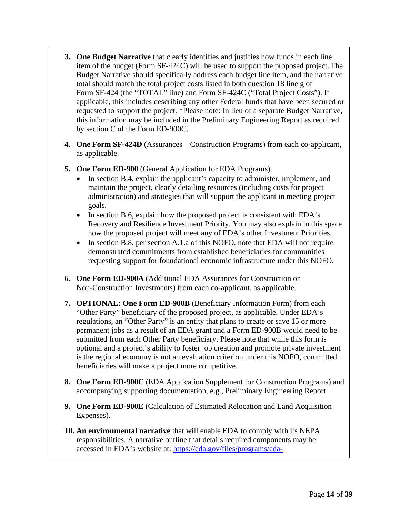- **3. One Budget Narrative** that clearly identifies and justifies how funds in each line item of the budget (Form SF-424C) will be used to support the proposed project. The Budget Narrative should specifically address each budget line item, and the narrative total should match the total project costs listed in both question 18 line g of Form SF-424 (the "TOTAL" line) and Form SF-424C ("Total Project Costs"). If applicable, this includes describing any other Federal funds that have been secured or requested to support the project. \*Please note: In lieu of a separate Budget Narrative, this information may be included in the Preliminary Engineering Report as required by section C of the Form ED-900C.
- **4. One Form SF-424D** (Assurances—Construction Programs) from each co-applicant, as applicable.
- **5. One Form ED-900** (General Application for EDA Programs).
	- In section B.4, explain the applicant's capacity to administer, implement, and maintain the project, clearly detailing resources (including costs for project administration) and strategies that will support the applicant in meeting project goals.
	- In section B.6, explain how the proposed project is consistent with EDA's Recovery and Resilience Investment Priority. You may also explain in this space how the proposed project will meet any of EDA's other Investment Priorities.
	- In section B.8, per section A.1, a of this NOFO, note that EDA will not require demonstrated commitments from established beneficiaries for communities requesting support for foundational economic infrastructure under this NOFO.
- **6. One Form ED-900A** (Additional EDA Assurances for Construction or Non-Construction Investments) from each co-applicant, as applicable.
- **7. OPTIONAL: One Form ED-900B** (Beneficiary Information Form) from each "Other Party" beneficiary of the proposed project, as applicable. Under EDA's regulations, an "Other Party" is an entity that plans to create or save 15 or more permanent jobs as a result of an EDA grant and a Form ED-900B would need to be submitted from each Other Party beneficiary. Please note that while this form is optional and a project's ability to foster job creation and promote private investment is the regional economy is not an evaluation criterion under this NOFO, committed beneficiaries will make a project more competitive.
- **8. One Form ED-900C** (EDA Application Supplement for Construction Programs) and accompanying supporting documentation, e.g., Preliminary Engineering Report.
- **9. One Form ED-900E** (Calculation of Estimated Relocation and Land Acquisition Expenses).
- **10. An environmental narrative** that will enable EDA to comply with its NEPA responsibilities. A narrative outline that details required components may be accessed in EDA's website at: [https://eda.gov/files/programs/eda-](https://eda.gov/files/programs/eda-programs/Environmental-Narrative-Template-and-Application-Certification-Clause.docx)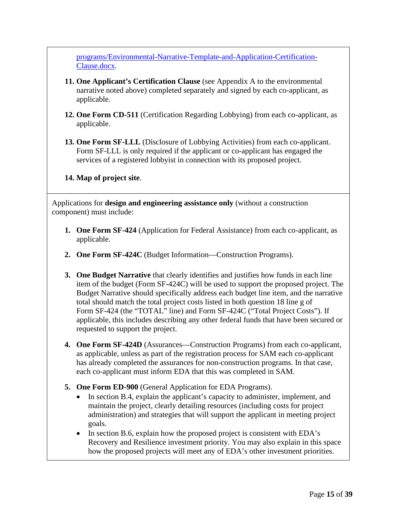[programs/Environmental-Narrative-Template-and-Application-Certification-](https://eda.gov/files/programs/eda-programs/Environmental-Narrative-Template-and-Application-Certification-Clause.docx)[Clause.docx.](https://eda.gov/files/programs/eda-programs/Environmental-Narrative-Template-and-Application-Certification-Clause.docx)

- **11. One Applicant's Certification Clause** (see Appendix A to the environmental narrative noted above) completed separately and signed by each co-applicant, as applicable.
- **12. One Form CD-511** (Certification Regarding Lobbying) from each co-applicant, as applicable.
- **13. One Form SF-LLL** (Disclosure of Lobbying Activities) from each co-applicant. Form SF-LLL is only required if the applicant or co-applicant has engaged the services of a registered lobbyist in connection with its proposed project.

## **14. Map of project site**.

Applications for **design and engineering assistance only** (without a construction component) must include:

- **1. One Form SF-424** (Application for Federal Assistance) from each co-applicant, as applicable.
- **2. One Form SF-424C** (Budget Information—Construction Programs).
- **3. One Budget Narrative** that clearly identifies and justifies how funds in each line item of the budget (Form SF-424C) will be used to support the proposed project. The Budget Narrative should specifically address each budget line item, and the narrative total should match the total project costs listed in both question 18 line g of Form SF-424 (the "TOTAL" line) and Form SF-424C ("Total Project Costs"). If applicable, this includes describing any other federal funds that have been secured or requested to support the project.
- **4. One Form SF-424D** (Assurances—Construction Programs) from each co-applicant, as applicable, unless as part of the registration process for SAM each co-applicant has already completed the assurances for non-construction programs. In that case, each co-applicant must inform EDA that this was completed in SAM.
- **5. One Form ED-900** (General Application for EDA Programs).
	- In section B.4, explain the applicant's capacity to administer, implement, and maintain the project, clearly detailing resources (including costs for project administration) and strategies that will support the applicant in meeting project goals.
	- In section B.6, explain how the proposed project is consistent with EDA's Recovery and Resilience investment priority. You may also explain in this space how the proposed projects will meet any of EDA's other investment priorities.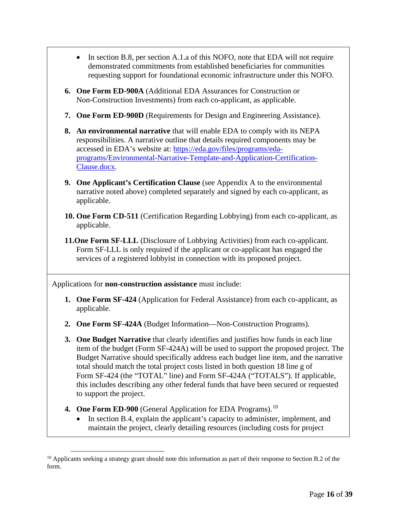- In section B.8, per section A.1.a of this NOFO, note that EDA will not require demonstrated commitments from established beneficiaries for communities requesting support for foundational economic infrastructure under this NOFO.
- **6. One Form ED-900A** (Additional EDA Assurances for Construction or Non-Construction Investments) from each co-applicant, as applicable.
- **7. One Form ED-900D** (Requirements for Design and Engineering Assistance).
- **8. An environmental narrative** that will enable EDA to comply with its NEPA responsibilities. A narrative outline that details required components may be accessed in EDA's website at: [https://eda.gov/files/programs/eda](https://eda.gov/files/programs/eda-programs/Environmental-Narrative-Template-and-Application-Certification-Clause.docx)[programs/Environmental-Narrative-Template-and-Application-Certification-](https://eda.gov/files/programs/eda-programs/Environmental-Narrative-Template-and-Application-Certification-Clause.docx)[Clause.docx.](https://eda.gov/files/programs/eda-programs/Environmental-Narrative-Template-and-Application-Certification-Clause.docx)
- **9. One Applicant's Certification Clause** (see Appendix A to the environmental narrative noted above) completed separately and signed by each co-applicant, as applicable.
- **10. One Form CD-511** (Certification Regarding Lobbying) from each co-applicant, as applicable.
- **11.One Form SF-LLL** (Disclosure of Lobbying Activities) from each co-applicant. Form SF-LLL is only required if the applicant or co-applicant has engaged the services of a registered lobbyist in connection with its proposed project.

Applications for **non-construction assistance** must include:

- **1. One Form SF-424** (Application for Federal Assistance) from each co-applicant, as applicable.
- **2. One Form SF-424A** (Budget Information—Non-Construction Programs).
- **3. One Budget Narrative** that clearly identifies and justifies how funds in each line item of the budget (Form SF-424A) will be used to support the proposed project. The Budget Narrative should specifically address each budget line item, and the narrative total should match the total project costs listed in both question 18 line g of Form SF-424 (the "TOTAL" line) and Form SF-424A ("TOTALS"). If applicable, this includes describing any other federal funds that have been secured or requested to support the project.
- **4. One Form ED-900** (General Application for EDA Programs).<sup>[10](#page-15-0)</sup>
	- In section B.4, explain the applicant's capacity to administer, implement, and maintain the project, clearly detailing resources (including costs for project

<span id="page-15-0"></span><sup>&</sup>lt;sup>10</sup> Applicants seeking a strategy grant should note this information as part of their response to Section B.2 of the form.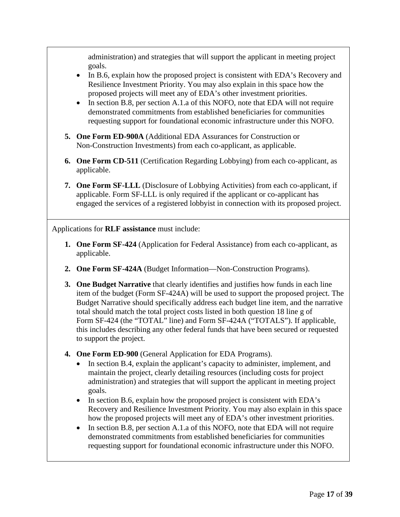administration) and strategies that will support the applicant in meeting project goals.

- In B.6, explain how the proposed project is consistent with EDA's Recovery and Resilience Investment Priority. You may also explain in this space how the proposed projects will meet any of EDA's other investment priorities.
- In section B.8, per section A.1.a of this NOFO, note that EDA will not require demonstrated commitments from established beneficiaries for communities requesting support for foundational economic infrastructure under this NOFO.
- **5. One Form ED-900A** (Additional EDA Assurances for Construction or Non-Construction Investments) from each co-applicant, as applicable.
- **6. One Form CD-511** (Certification Regarding Lobbying) from each co-applicant, as applicable.
- **7. One Form SF-LLL** (Disclosure of Lobbying Activities) from each co-applicant, if applicable. Form SF-LLL is only required if the applicant or co-applicant has engaged the services of a registered lobbyist in connection with its proposed project.

Applications for **RLF assistance** must include:

- **1. One Form SF-424** (Application for Federal Assistance) from each co-applicant, as applicable.
- **2. One Form SF-424A** (Budget Information—Non-Construction Programs).
- **3. One Budget Narrative** that clearly identifies and justifies how funds in each line item of the budget (Form SF-424A) will be used to support the proposed project. The Budget Narrative should specifically address each budget line item, and the narrative total should match the total project costs listed in both question 18 line g of Form SF-424 (the "TOTAL" line) and Form SF-424A ("TOTALS"). If applicable, this includes describing any other federal funds that have been secured or requested to support the project.
- **4. One Form ED-900** (General Application for EDA Programs).
	- In section B.4, explain the applicant's capacity to administer, implement, and maintain the project, clearly detailing resources (including costs for project administration) and strategies that will support the applicant in meeting project goals.
	- In section B.6, explain how the proposed project is consistent with EDA's Recovery and Resilience Investment Priority. You may also explain in this space how the proposed projects will meet any of EDA's other investment priorities.
	- In section B.8, per section A.1.a of this NOFO, note that EDA will not require demonstrated commitments from established beneficiaries for communities requesting support for foundational economic infrastructure under this NOFO.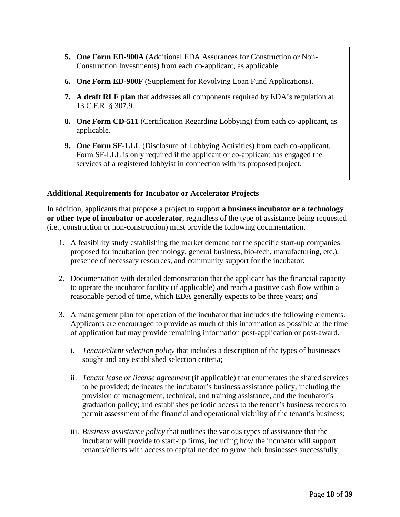- **5. One Form ED-900A** (Additional EDA Assurances for Construction or Non-Construction Investments) from each co-applicant, as applicable.
- **6. One Form ED-900F** (Supplement for Revolving Loan Fund Applications).
- **7. A draft RLF plan** that addresses all components required by EDA's regulation at 13 C.F.R. § 307.9.
- **8. One Form CD-511** (Certification Regarding Lobbying) from each co-applicant, as applicable.
- **9. One Form SF-LLL** (Disclosure of Lobbying Activities) from each co-applicant. Form SF-LLL is only required if the applicant or co-applicant has engaged the services of a registered lobbyist in connection with its proposed project.

### **Additional Requirements for Incubator or Accelerator Projects**

In addition, applicants that propose a project to support **a business incubator or a technology or other type of incubator or accelerator**, regardless of the type of assistance being requested (i.e., construction or non-construction) must provide the following documentation.

- 1. A feasibility study establishing the market demand for the specific start-up companies proposed for incubation (technology, general business, bio-tech, manufacturing, etc.), presence of necessary resources, and community support for the incubator;
- 2. Documentation with detailed demonstration that the applicant has the financial capacity to operate the incubator facility (if applicable) and reach a positive cash flow within a reasonable period of time, which EDA generally expects to be three years; *and*
- 3. A management plan for operation of the incubator that includes the following elements. Applicants are encouraged to provide as much of this information as possible at the time of application but may provide remaining information post-application or post-award.
	- i. *Tenant/client selection policy* that includes a description of the types of businesses sought and any established selection criteria;
	- ii. *Tenant lease or license agreement* (if applicable) that enumerates the shared services to be provided; delineates the incubator's business assistance policy, including the provision of management, technical, and training assistance, and the incubator's graduation policy; and establishes periodic access to the tenant's business records to permit assessment of the financial and operational viability of the tenant's business;
	- iii. *Business assistance policy* that outlines the various types of assistance that the incubator will provide to start-up firms, including how the incubator will support tenants/clients with access to capital needed to grow their businesses successfully;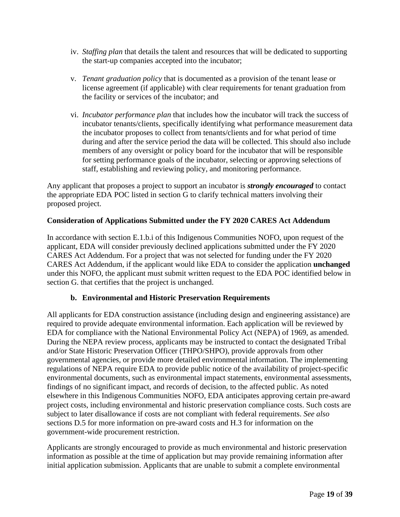- iv. *Staffing plan* that details the talent and resources that will be dedicated to supporting the start-up companies accepted into the incubator;
- v. *Tenant graduation policy* that is documented as a provision of the tenant lease or license agreement (if applicable) with clear requirements for tenant graduation from the facility or services of the incubator; and
- vi. *Incubator performance plan* that includes how the incubator will track the success of incubator tenants/clients, specifically identifying what performance measurement data the incubator proposes to collect from tenants/clients and for what period of time during and after the service period the data will be collected. This should also include members of any oversight or policy board for the incubator that will be responsible for setting performance goals of the incubator, selecting or approving selections of staff, establishing and reviewing policy, and monitoring performance.

Any applicant that proposes a project to support an incubator is *strongly encouraged* to contact the appropriate EDA POC listed in section G to clarify technical matters involving their proposed project.

### **Consideration of Applications Submitted under the FY 2020 CARES Act Addendum**

In accordance with section E.1.b.i of this Indigenous Communities NOFO, upon request of the applicant, EDA will consider previously declined applications submitted under the FY 2020 CARES Act Addendum. For a project that was not selected for funding under the FY 2020 CARES Act Addendum, if the applicant would like EDA to consider the application **unchanged** under this NOFO, the applicant must submit written request to the EDA POC identified below in section G. that certifies that the project is unchanged.

### **b. Environmental and Historic Preservation Requirements**

All applicants for EDA construction assistance (including design and engineering assistance) are required to provide adequate environmental information. Each application will be reviewed by EDA for compliance with the National Environmental Policy Act (NEPA) of 1969, as amended. During the NEPA review process, applicants may be instructed to contact the designated Tribal and/or State Historic Preservation Officer (THPO/SHPO), provide approvals from other governmental agencies, or provide more detailed environmental information. The implementing regulations of NEPA require EDA to provide public notice of the availability of project-specific environmental documents, such as environmental impact statements, environmental assessments, findings of no significant impact, and records of decision, to the affected public. As noted elsewhere in this Indigenous Communities NOFO, EDA anticipates approving certain pre-award project costs, including environmental and historic preservation compliance costs. Such costs are subject to later disallowance if costs are not compliant with federal requirements. *See also* sections D.5 for more information on pre-award costs and H.3 for information on the government-wide procurement restriction.

Applicants are strongly encouraged to provide as much environmental and historic preservation information as possible at the time of application but may provide remaining information after initial application submission. Applicants that are unable to submit a complete environmental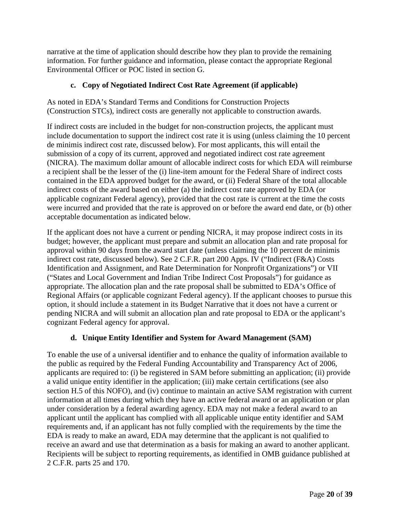narrative at the time of application should describe how they plan to provide the remaining information. For further guidance and information, please contact the appropriate Regional Environmental Officer or POC listed in section G.

## **c. Copy of Negotiated Indirect Cost Rate Agreement (if applicable)**

As noted in EDA's Standard Terms and Conditions for Construction Projects (Construction STCs), indirect costs are generally not applicable to construction awards.

If indirect costs are included in the budget for non-construction projects, the applicant must include documentation to support the indirect cost rate it is using (unless claiming the 10 percent de minimis indirect cost rate, discussed below). For most applicants, this will entail the submission of a copy of its current, approved and negotiated indirect cost rate agreement (NICRA). The maximum dollar amount of allocable indirect costs for which EDA will reimburse a recipient shall be the lesser of the (i) line-item amount for the Federal Share of indirect costs contained in the EDA approved budget for the award, or (ii) Federal Share of the total allocable indirect costs of the award based on either (a) the indirect cost rate approved by EDA (or applicable cognizant Federal agency), provided that the cost rate is current at the time the costs were incurred and provided that the rate is approved on or before the award end date, or (b) other acceptable documentation as indicated below.

If the applicant does not have a current or pending NICRA, it may propose indirect costs in its budget; however, the applicant must prepare and submit an allocation plan and rate proposal for approval within 90 days from the award start date (unless claiming the 10 percent de minimis indirect cost rate, discussed below). See 2 C.F.R. part 200 Apps. IV ("Indirect (F&A) Costs Identification and Assignment, and Rate Determination for Nonprofit Organizations") or VII ("States and Local Government and Indian Tribe Indirect Cost Proposals") for guidance as appropriate. The allocation plan and the rate proposal shall be submitted to EDA's Office of Regional Affairs (or applicable cognizant Federal agency). If the applicant chooses to pursue this option, it should include a statement in its Budget Narrative that it does not have a current or pending NICRA and will submit an allocation plan and rate proposal to EDA or the applicant's cognizant Federal agency for approval.

### **d. Unique Entity Identifier and System for Award Management (SAM)**

To enable the use of a universal identifier and to enhance the quality of information available to the public as required by the Federal Funding Accountability and Transparency Act of 2006, applicants are required to: (i) be registered in SAM before submitting an application; (ii) provide a valid unique entity identifier in the application; (iii) make certain certifications (see also section H.5 of this NOFO), and (iv) continue to maintain an active SAM registration with current information at all times during which they have an active federal award or an application or plan under consideration by a federal awarding agency. EDA may not make a federal award to an applicant until the applicant has complied with all applicable unique entity identifier and SAM requirements and, if an applicant has not fully complied with the requirements by the time the EDA is ready to make an award, EDA may determine that the applicant is not qualified to receive an award and use that determination as a basis for making an award to another applicant. Recipients will be subject to reporting requirements, as identified in OMB guidance published at 2 C.F.R. parts 25 and 170.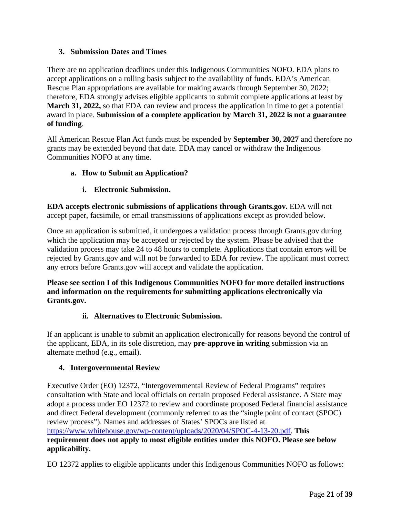## <span id="page-20-0"></span>**3. Submission Dates and Times**

There are no application deadlines under this Indigenous Communities NOFO. EDA plans to accept applications on a rolling basis subject to the availability of funds. EDA's American Rescue Plan appropriations are available for making awards through September 30, 2022; therefore, EDA strongly advises eligible applicants to submit complete applications at least by **March 31, 2022,** so that EDA can review and process the application in time to get a potential award in place. **Submission of a complete application by March 31, 2022 is not a guarantee of funding**.

All American Rescue Plan Act funds must be expended by **September 30, 2027** and therefore no grants may be extended beyond that date. EDA may cancel or withdraw the Indigenous Communities NOFO at any time.

### **a. How to Submit an Application?**

## **i. Electronic Submission.**

**EDA accepts electronic submissions of applications through Grants.gov.** EDA will not accept paper, facsimile, or email transmissions of applications except as provided below.

Once an application is submitted, it undergoes a validation process through Grants.gov during which the application may be accepted or rejected by the system. Please be advised that the validation process may take 24 to 48 hours to complete. Applications that contain errors will be rejected by Grants.gov and will not be forwarded to EDA for review. The applicant must correct any errors before Grants.gov will accept and validate the application.

**Please see section I of this Indigenous Communities NOFO for more detailed instructions and information on the requirements for submitting applications electronically via Grants.gov.** 

### **ii. Alternatives to Electronic Submission.**

If an applicant is unable to submit an application electronically for reasons beyond the control of the applicant, EDA, in its sole discretion, may **pre-approve in writing** submission via an alternate method (e.g., email).

### <span id="page-20-1"></span>**4. Intergovernmental Review**

Executive Order (EO) 12372, "Intergovernmental Review of Federal Programs" requires consultation with State and local officials on certain proposed Federal assistance. A State may adopt a process under EO 12372 to review and coordinate proposed Federal financial assistance and direct Federal development (commonly referred to as the "single point of contact (SPOC) review process"). Names and addresses of States' SPOCs are listed at [https://www.whitehouse.gov/wp-content/uploads/2020/04/SPOC-4-13-20.pdf.](https://www.whitehouse.gov/wp-content/uploads/2020/04/SPOC-4-13-20.pdf) **This requirement does not apply to most eligible entities under this NOFO. Please see below applicability.**

EO 12372 applies to eligible applicants under this Indigenous Communities NOFO as follows: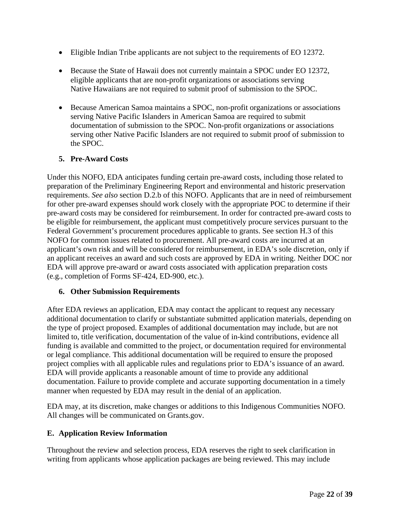- Eligible Indian Tribe applicants are not subject to the requirements of EO 12372.
- Because the State of Hawaii does not currently maintain a SPOC under EO 12372, eligible applicants that are non-profit organizations or associations serving Native Hawaiians are not required to submit proof of submission to the SPOC.
- Because American Samoa maintains a SPOC, non-profit organizations or associations serving Native Pacific Islanders in American Samoa are required to submit documentation of submission to the SPOC. Non-profit organizations or associations serving other Native Pacific Islanders are not required to submit proof of submission to the SPOC.

## <span id="page-21-0"></span>**5. Pre-Award Costs**

Under this NOFO, EDA anticipates funding certain pre-award costs, including those related to preparation of the Preliminary Engineering Report and environmental and historic preservation requirements. *See also* section D.2.b of this NOFO. Applicants that are in need of reimbursement for other pre-award expenses should work closely with the appropriate POC to determine if their pre-award costs may be considered for reimbursement. In order for contracted pre-award costs to be eligible for reimbursement, the applicant must competitively procure services pursuant to the Federal Government's procurement procedures applicable to grants. See section H.3 of this NOFO for common issues related to procurement. All pre-award costs are incurred at an applicant's own risk and will be considered for reimbursement, in EDA's sole discretion, only if an applicant receives an award and such costs are approved by EDA in writing. Neither DOC nor EDA will approve pre-award or award costs associated with application preparation costs (e.g., completion of Forms SF-424, ED-900, etc.).

### <span id="page-21-1"></span>**6. Other Submission Requirements**

After EDA reviews an application, EDA may contact the applicant to request any necessary additional documentation to clarify or substantiate submitted application materials, depending on the type of project proposed. Examples of additional documentation may include, but are not limited to, title verification, documentation of the value of in-kind contributions, evidence all funding is available and committed to the project, or documentation required for environmental or legal compliance. This additional documentation will be required to ensure the proposed project complies with all applicable rules and regulations prior to EDA's issuance of an award. EDA will provide applicants a reasonable amount of time to provide any additional documentation. Failure to provide complete and accurate supporting documentation in a timely manner when requested by EDA may result in the denial of an application.

EDA may, at its discretion, make changes or additions to this Indigenous Communities NOFO. All changes will be communicated on Grants.gov.

### <span id="page-21-2"></span>**E. Application Review Information**

Throughout the review and selection process, EDA reserves the right to seek clarification in writing from applicants whose application packages are being reviewed. This may include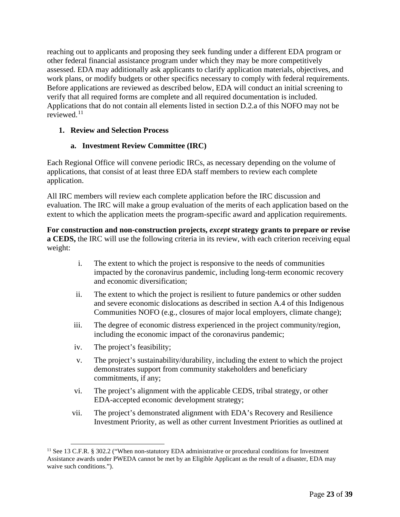reaching out to applicants and proposing they seek funding under a different EDA program or other federal financial assistance program under which they may be more competitively assessed. EDA may additionally ask applicants to clarify application materials, objectives, and work plans, or modify budgets or other specifics necessary to comply with federal requirements. Before applications are reviewed as described below, EDA will conduct an initial screening to verify that all required forms are complete and all required documentation is included. Applications that do not contain all elements listed in section D.2.a of this NOFO may not be reviewed. $11$ 

### <span id="page-22-0"></span>**1. Review and Selection Process**

### **a. Investment Review Committee (IRC)**

Each Regional Office will convene periodic IRCs, as necessary depending on the volume of applications, that consist of at least three EDA staff members to review each complete application.

All IRC members will review each complete application before the IRC discussion and evaluation. The IRC will make a group evaluation of the merits of each application based on the extent to which the application meets the program-specific award and application requirements.

**For construction and non-construction projects,** *except* **strategy grants to prepare or revise a CEDS,** the IRC will use the following criteria in its review, with each criterion receiving equal weight:

- i. The extent to which the project is responsive to the needs of communities impacted by the coronavirus pandemic, including long-term economic recovery and economic diversification;
- ii. The extent to which the project is resilient to future pandemics or other sudden and severe economic dislocations as described in section A.4 of this Indigenous Communities NOFO (e.g., closures of major local employers, climate change);
- iii. The degree of economic distress experienced in the project community/region, including the economic impact of the coronavirus pandemic;
- iv. The project's feasibility;
- v. The project's sustainability/durability, including the extent to which the project demonstrates support from community stakeholders and beneficiary commitments, if any;
- vi. The project's alignment with the applicable CEDS, tribal strategy, or other EDA-accepted economic development strategy;
- vii. The project's demonstrated alignment with EDA's Recovery and Resilience Investment Priority, as well as other current Investment Priorities as outlined at

<span id="page-22-1"></span><sup>&</sup>lt;sup>11</sup> See 13 C.F.R. § 302.2 ("When non-statutory EDA administrative or procedural conditions for Investment Assistance awards under PWEDA cannot be met by an Eligible Applicant as the result of a disaster, EDA may waive such conditions.").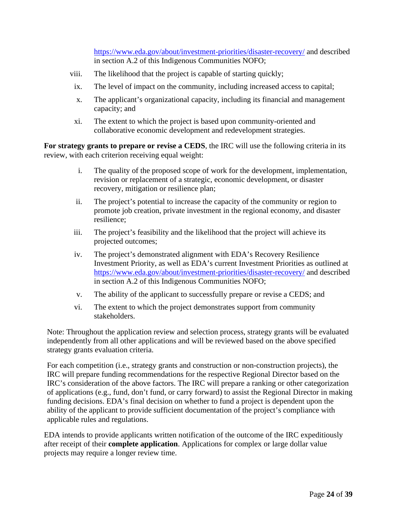<https://www.eda.gov/about/investment-priorities/disaster-recovery/> and described in section A.2 of this Indigenous Communities NOFO;

- viii. The likelihood that the project is capable of starting quickly;
- ix. The level of impact on the community, including increased access to capital;
- x. The applicant's organizational capacity, including its financial and management capacity; and
- xi. The extent to which the project is based upon community-oriented and collaborative economic development and redevelopment strategies.

**For strategy grants to prepare or revise a CEDS**, the IRC will use the following criteria in its review, with each criterion receiving equal weight:

- i. The quality of the proposed scope of work for the development, implementation, revision or replacement of a strategic, economic development, or disaster recovery, mitigation or resilience plan;
- ii. The project's potential to increase the capacity of the community or region to promote job creation, private investment in the regional economy, and disaster resilience;
- iii. The project's feasibility and the likelihood that the project will achieve its projected outcomes;
- iv. The project's demonstrated alignment with EDA's Recovery Resilience Investment Priority, as well as EDA's current Investment Priorities as outlined at <https://www.eda.gov/about/investment-priorities/disaster-recovery/> and described in section A.2 of this Indigenous Communities NOFO;
- v. The ability of the applicant to successfully prepare or revise a CEDS; and
- vi. The extent to which the project demonstrates support from community stakeholders.

Note: Throughout the application review and selection process, strategy grants will be evaluated independently from all other applications and will be reviewed based on the above specified strategy grants evaluation criteria.

For each competition (i.e., strategy grants and construction or non-construction projects), the IRC will prepare funding recommendations for the respective Regional Director based on the IRC's consideration of the above factors. The IRC will prepare a ranking or other categorization of applications (e.g., fund, don't fund, or carry forward) to assist the Regional Director in making funding decisions. EDA's final decision on whether to fund a project is dependent upon the ability of the applicant to provide sufficient documentation of the project's compliance with applicable rules and regulations.

EDA intends to provide applicants written notification of the outcome of the IRC expeditiously after receipt of their **complete application**. Applications for complex or large dollar value projects may require a longer review time.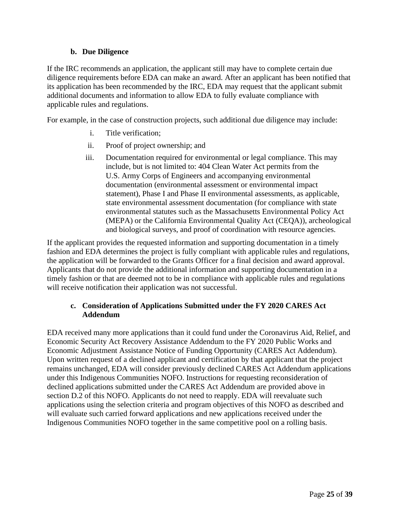### **b. Due Diligence**

If the IRC recommends an application, the applicant still may have to complete certain due diligence requirements before EDA can make an award. After an applicant has been notified that its application has been recommended by the IRC, EDA may request that the applicant submit additional documents and information to allow EDA to fully evaluate compliance with applicable rules and regulations.

For example, in the case of construction projects, such additional due diligence may include:

- i. Title verification;
- ii. Proof of project ownership; and
- iii. Documentation required for environmental or legal compliance. This may include, but is not limited to: 404 Clean Water Act permits from the U.S. Army Corps of Engineers and accompanying environmental documentation (environmental assessment or environmental impact statement), Phase I and Phase II environmental assessments, as applicable, state environmental assessment documentation (for compliance with state environmental statutes such as the Massachusetts Environmental Policy Act (MEPA) or the California Environmental Quality Act (CEQA)), archeological and biological surveys, and proof of coordination with resource agencies.

If the applicant provides the requested information and supporting documentation in a timely fashion and EDA determines the project is fully compliant with applicable rules and regulations, the application will be forwarded to the Grants Officer for a final decision and award approval. Applicants that do not provide the additional information and supporting documentation in a timely fashion or that are deemed not to be in compliance with applicable rules and regulations will receive notification their application was not successful.

### **c. Consideration of Applications Submitted under the FY 2020 CARES Act Addendum**

EDA received many more applications than it could fund under the Coronavirus Aid, Relief, and Economic Security Act Recovery Assistance Addendum to the FY 2020 Public Works and Economic Adjustment Assistance Notice of Funding Opportunity (CARES Act Addendum). Upon written request of a declined applicant and certification by that applicant that the project remains unchanged, EDA will consider previously declined CARES Act Addendum applications under this Indigenous Communities NOFO. Instructions for requesting reconsideration of declined applications submitted under the CARES Act Addendum are provided above in section D.2 of this NOFO. Applicants do not need to reapply. EDA will reevaluate such applications using the selection criteria and program objectives of this NOFO as described and will evaluate such carried forward applications and new applications received under the Indigenous Communities NOFO together in the same competitive pool on a rolling basis.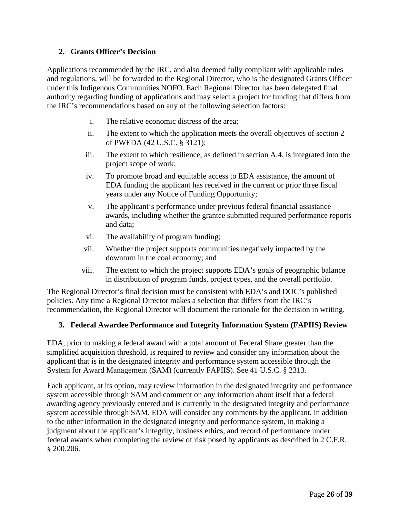### <span id="page-25-0"></span>**2. Grants Officer's Decision**

Applications recommended by the IRC, and also deemed fully compliant with applicable rules and regulations, will be forwarded to the Regional Director, who is the designated Grants Officer under this Indigenous Communities NOFO. Each Regional Director has been delegated final authority regarding funding of applications and may select a project for funding that differs from the IRC's recommendations based on any of the following selection factors:

- i. The relative economic distress of the area;
- ii. The extent to which the application meets the overall objectives of section 2 of PWEDA (42 U.S.C. § 3121);
- iii. The extent to which resilience, as defined in section A.4, is integrated into the project scope of work;
- iv. To promote broad and equitable access to EDA assistance, the amount of EDA funding the applicant has received in the current or prior three fiscal years under any Notice of Funding Opportunity;
- v. The applicant's performance under previous federal financial assistance awards, including whether the grantee submitted required performance reports and data;
- vi. The availability of program funding;
- vii. Whether the project supports communities negatively impacted by the downturn in the coal economy; and
- viii. The extent to which the project supports EDA's goals of geographic balance in distribution of program funds, project types, and the overall portfolio.

The Regional Director's final decision must be consistent with EDA's and DOC's published policies. Any time a Regional Director makes a selection that differs from the IRC's recommendation, the Regional Director will document the rationale for the decision in writing.

### <span id="page-25-1"></span>**3. Federal Awardee Performance and Integrity Information System (FAPIIS) Review**

EDA, prior to making a federal award with a total amount of Federal Share greater than the simplified acquisition threshold, is required to review and consider any information about the applicant that is in the designated integrity and performance system accessible through the System for Award Management (SAM) (currently FAPIIS). See 41 U.S.C. § 2313.

Each applicant, at its option, may review information in the designated integrity and performance system accessible through SAM and comment on any information about itself that a federal awarding agency previously entered and is currently in the designated integrity and performance system accessible through SAM. EDA will consider any comments by the applicant, in addition to the other information in the designated integrity and performance system, in making a judgment about the applicant's integrity, business ethics, and record of performance under federal awards when completing the review of risk posed by applicants as described in 2 C.F.R. § 200.206.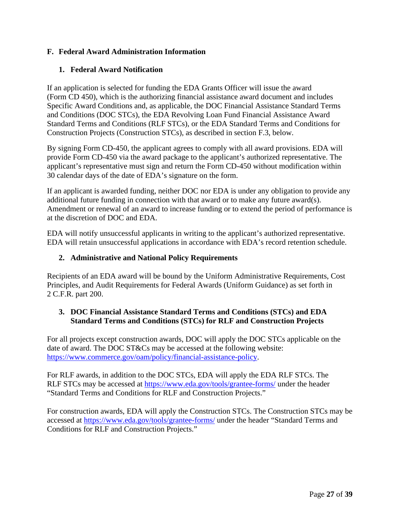## <span id="page-26-0"></span>**F. Federal Award Administration Information**

## <span id="page-26-1"></span>**1. Federal Award Notification**

If an application is selected for funding the EDA Grants Officer will issue the award (Form CD 450), which is the authorizing financial assistance award document and includes Specific Award Conditions and, as applicable, the DOC Financial Assistance Standard Terms and Conditions (DOC STCs), the EDA Revolving Loan Fund Financial Assistance Award Standard Terms and Conditions (RLF STCs), or the EDA Standard Terms and Conditions for Construction Projects (Construction STCs), as described in section F.3, below.

By signing Form CD-450, the applicant agrees to comply with all award provisions. EDA will provide Form CD-450 via the award package to the applicant's authorized representative. The applicant's representative must sign and return the Form CD-450 without modification within 30 calendar days of the date of EDA's signature on the form.

If an applicant is awarded funding, neither DOC nor EDA is under any obligation to provide any additional future funding in connection with that award or to make any future award(s). Amendment or renewal of an award to increase funding or to extend the period of performance is at the discretion of DOC and EDA.

EDA will notify unsuccessful applicants in writing to the applicant's authorized representative. EDA will retain unsuccessful applications in accordance with EDA's record retention schedule.

### <span id="page-26-2"></span>**2. Administrative and National Policy Requirements**

Recipients of an EDA award will be bound by the Uniform Administrative Requirements, Cost Principles, and Audit Requirements for Federal Awards (Uniform Guidance) as set forth in 2 C.F.R. part 200.

### <span id="page-26-3"></span>**3. DOC Financial Assistance Standard Terms and Conditions (STCs) and EDA Standard Terms and Conditions (STCs) for RLF and Construction Projects**

For all projects except construction awards, DOC will apply the DOC STCs applicable on the date of award. The DOC ST&Cs may be accessed at the following website: [https://www.commerce.gov/oam/policy/financial-assistance-policy.](https://www.commerce.gov/oam/policy/financial-assistance-policy)

For RLF awards, in addition to the DOC STCs, EDA will apply the EDA RLF STCs. The RLF STCs may be accessed at<https://www.eda.gov/tools/grantee-forms/> under the header "Standard Terms and Conditions for RLF and Construction Projects."

For construction awards, EDA will apply the Construction STCs. The Construction STCs may be accessed at<https://www.eda.gov/tools/grantee-forms/> under the header "Standard Terms and Conditions for RLF and Construction Projects."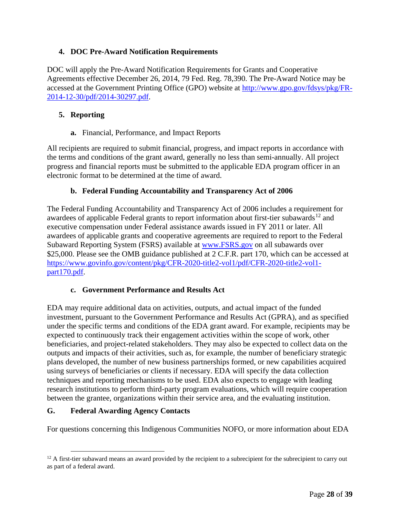## <span id="page-27-0"></span>**4. DOC Pre-Award Notification Requirements**

DOC will apply the Pre-Award Notification Requirements for Grants and Cooperative Agreements effective December 26, 2014, 79 Fed. Reg. 78,390. The Pre-Award Notice may be accessed at the Government Printing Office (GPO) website at [http://www.gpo.gov/fdsys/pkg/FR-](http://www.gpo.gov/fdsys/pkg/FR-2014-12-30/pdf/2014-30297.pdf)[2014-12-30/pdf/2014-30297.pdf.](http://www.gpo.gov/fdsys/pkg/FR-2014-12-30/pdf/2014-30297.pdf)

### <span id="page-27-1"></span>**5. Reporting**

**a.** Financial, Performance, and Impact Reports

All recipients are required to submit financial, progress, and impact reports in accordance with the terms and conditions of the grant award, generally no less than semi-annually. All project progress and financial reports must be submitted to the applicable EDA program officer in an electronic format to be determined at the time of award.

### **b. Federal Funding Accountability and Transparency Act of 2006**

The Federal Funding Accountability and Transparency Act of 2006 includes a requirement for awardees of applicable Federal grants to report information about first-tier subawards<sup>[12](#page-27-3)</sup> and executive compensation under Federal assistance awards issued in FY 2011 or later. All awardees of applicable grants and cooperative agreements are required to report to the Federal Subaward Reporting System (FSRS) available at **www.FSRS.gov** on all subawards over \$25,000. Please see the OMB guidance published at 2 C.F.R. part 170, which can be accessed at [https://www.govinfo.gov/content/pkg/CFR-2020-title2-vol1/pdf/CFR-2020-title2-vol1](https://www.govinfo.gov/content/pkg/CFR-2020-title2-vol1/pdf/CFR-2020-title2-vol1-part170.pdf) [part170.pdf.](https://www.govinfo.gov/content/pkg/CFR-2020-title2-vol1/pdf/CFR-2020-title2-vol1-part170.pdf)

### **c. Government Performance and Results Act**

EDA may require additional data on activities, outputs, and actual impact of the funded investment, pursuant to the Government Performance and Results Act (GPRA), and as specified under the specific terms and conditions of the EDA grant award. For example, recipients may be expected to continuously track their engagement activities within the scope of work, other beneficiaries, and project-related stakeholders. They may also be expected to collect data on the outputs and impacts of their activities, such as, for example, the number of beneficiary strategic plans developed, the number of new business partnerships formed, or new capabilities acquired using surveys of beneficiaries or clients if necessary. EDA will specify the data collection techniques and reporting mechanisms to be used. EDA also expects to engage with leading research institutions to perform third-party program evaluations, which will require cooperation between the grantee, organizations within their service area, and the evaluating institution.

### <span id="page-27-2"></span>**G. Federal Awarding Agency Contacts**

For questions concerning this Indigenous Communities NOFO, or more information about EDA

<span id="page-27-3"></span><sup>&</sup>lt;sup>12</sup> A first-tier subaward means an award provided by the recipient to a subrecipient for the subrecipient to carry out as part of a federal award.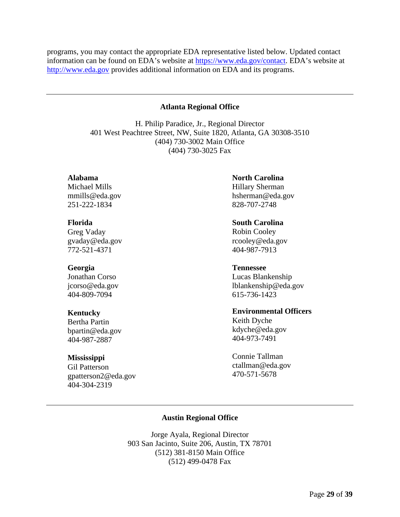programs, you may contact the appropriate EDA representative listed below. Updated contact information can be found on EDA's website at [https://www.eda.gov/contact.](https://www.eda.gov/contact) EDA's website at [http://www.eda.gov](http://www.eda.gov/) provides additional information on EDA and its programs.

#### **Atlanta Regional Office**

<span id="page-28-0"></span>H. Philip Paradice, Jr., Regional Director 401 West Peachtree Street, NW, Suite 1820, Atlanta, GA 30308-3510 (404) 730-3002 Main Office (404) 730-3025 Fax

### **Alabama**

Michael Mills mmills@eda.gov 251-222-1834

#### **Florida**

Greg Vaday gvaday@eda.gov 772-521-4371

#### **Georgia**

Jonathan Corso jcorso@eda.gov 404-809-7094

#### **Kentucky**

Bertha Partin bpartin@eda.gov 404-987-2887

#### **Mississippi**

<span id="page-28-1"></span>Gil Patterson gpatterson2@eda.gov 404-304-2319

### **North Carolina**

Hillary Sherman hsherman@eda.gov 828-707-2748

### **South Carolina**

Robin Cooley rcooley@eda.gov 404-987-7913

#### **Tennessee**

Lucas Blankenship lblankenship@eda.gov 615-736-1423

### **Environmental Officers**

Keith Dyche kdyche@eda.gov 404-973-7491

Connie Tallman ctallman@eda.gov 470-571-5678

### **Austin Regional Office**

Jorge Ayala, Regional Director 903 San Jacinto, Suite 206, Austin, TX 78701 (512) 381-8150 Main Office (512) 499-0478 Fax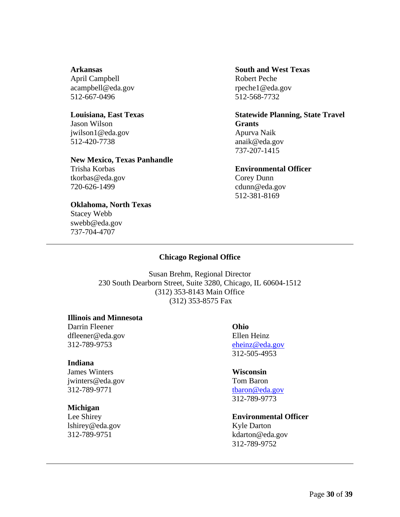**Arkansas** April Campbell acampbell@eda.gov 512-667-0496

#### **Louisiana, East Texas**

Jason Wilson jwilson1@eda.gov 512-420-7738

### **New Mexico, Texas Panhandle**

Trisha Korbas tkorbas@eda.gov 720-626-1499

#### **Oklahoma, North Texas**

<span id="page-29-0"></span>Stacey Webb swebb@eda.gov 737-704-4707

### **South and West Texas** Robert Peche rpeche1@eda.gov 512-568-7732

**Statewide Planning, State Travel Grants** Apurva Naik anaik@eda.gov 737-207-1415

#### **Environmental Officer**

Corey Dunn cdunn@eda.gov 512-381-8169

#### **Chicago Regional Office**

Susan Brehm, Regional Director 230 South Dearborn Street, Suite 3280, Chicago, IL 60604-1512 (312) 353-8143 Main Office (312) 353-8575 Fax

#### **Illinois and Minnesota**

Darrin Fleener dfleener@eda.gov 312-789-9753

#### **Indiana**

James Winters jwinters@eda.gov 312-789-9771

#### **Michigan**

Lee Shirey lshirey@eda.gov 312-789-9751

**Ohio** Ellen Heinz [eheinz@eda.gov](mailto:eheinz@eda.gov) 312-505-4953

#### **Wisconsin**

Tom Baron [tbaron@eda.gov](mailto:tbaron@eda.gov) 312-789-9773

### **Environmental Officer**

Kyle Darton kdarton@eda.gov 312-789-9752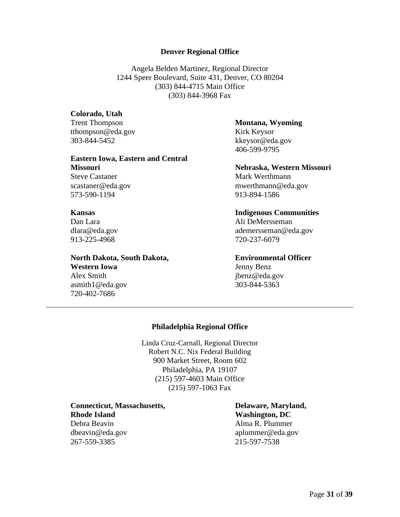#### **Denver Regional Office**

Angela Belden Martinez, Regional Director 1244 Speer Boulevard, Suite 431, Denver, CO 80204 (303) 844-4715 Main Office (303) 844-3968 Fax

#### <span id="page-30-0"></span>**Colorado, Utah**

Trent Thompson tthompson@eda.gov 303-844-5452

### **Eastern Iowa, Eastern and Central**

**Missouri** Steve Castaner scastaner@eda.gov 573-590-1194

#### **Kansas**

Dan Lara dlara@eda.gov 913-225-4968

### **North Dakota, South Dakota,**

<span id="page-30-1"></span>**Western Iowa**  Alex Smith asmith1@eda.gov 720-402-7686

### **Montana, Wyoming**  Kirk Keysor kkeysor@eda.gov 406-599-9795

**Nebraska, Western Missouri**  Mark Werthmann mwerthmann@eda.gov 913-894-1586

#### **Indigenous Communities**

Ali DeMersseman ademersseman@eda.gov 720-237-6079

#### **Environmental Officer**

Jenny Benz jbenz@eda.gov 303-844-5363

### **Philadelphia Regional Office**

Linda Cruz-Carnall, Regional Director Robert N.C. Nix Federal Building 900 Market Street, Room 602 Philadelphia, PA 19107 (215) 597-4603 Main Office (215) 597-1063 Fax

**Connecticut, Massachusetts, Rhode Island** Debra Beavin dbeavin@eda.gov 267-559-3385

**Delaware, Maryland, Washington, DC** Alma R. Plummer aplummer@eda.gov 215-597-7538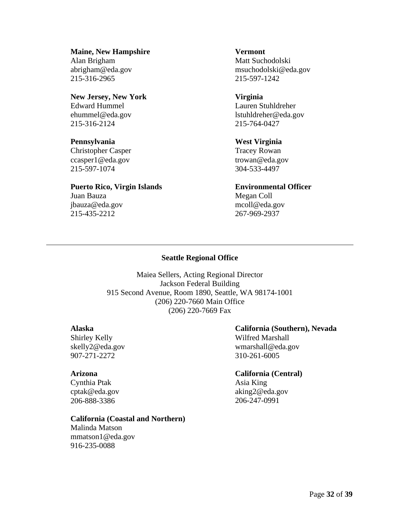**Maine, New Hampshire** Alan Brigham abrigham@eda.gov 215-316-2965

### **New Jersey, New York** Edward Hummel ehummel@eda.gov 215-316-2124

**Pennsylvania** Christopher Casper ccasper1@eda.gov

# **Puerto Rico, Virgin Islands**

Juan Bauza jbauza@eda.gov 215-435-2212

215-597-1074

**Vermont** Matt Suchodolski msuchodolski@eda.gov 215-597-1242

**Virginia** Lauren Stuhldreher lstuhldreher@eda.gov 215-764-0427

**West Virginia** Tracey Rowan trowan@eda.gov 304-533-4497

**Environmental Officer** Megan Coll mcoll@eda.gov 267-969-2937

## **Seattle Regional Office**

<span id="page-31-0"></span>Maiea Sellers, Acting Regional Director Jackson Federal Building 915 Second Avenue, Room 1890, Seattle, WA 98174-1001 (206) 220-7660 Main Office (206) 220-7669 Fax

### **Alaska**

Shirley Kelly skelly2@eda.gov 907-271-2272

### **Arizona**

Cynthia Ptak cptak@eda.gov 206-888-3386

### **California (Coastal and Northern)**

Malinda Matson mmatson1@eda.gov 916-235-0088

## **California (Southern), Nevada**

Wilfred Marshall wmarshall@eda.gov 310-261-6005

## **California (Central)**

Asia King aking2@eda.gov 206-247-0991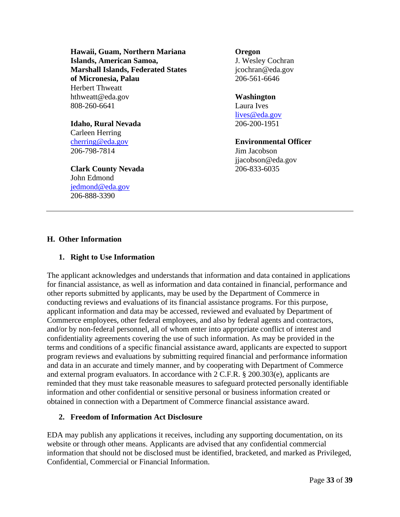**Hawaii, Guam, Northern Mariana Islands, American Samoa, Marshall Islands, Federated States of Micronesia, Palau**  Herbert Thweatt hthweatt@eda.gov 808-260-6641

### **Idaho, Rural Nevada** Carleen Herring

[cherring@eda.gov](mailto:cherring@eda.gov) 206-798-7814

**Clark County Nevada** John Edmond [jedmond@eda.gov](mailto:jedmond@eda.gov) 206-888-3390

**Oregon**  J. Wesley Cochran jcochran@eda.gov 206-561-6646

### **Washington**

Laura Ives [lives@eda.gov](mailto:lives@eda.gov) 206-200-1951

**Environmental Officer**  Jim Jacobson jjacobson@eda.gov 206-833-6035

## <span id="page-32-0"></span>**H. Other Information**

### <span id="page-32-1"></span>**1. Right to Use Information**

The applicant acknowledges and understands that information and data contained in applications for financial assistance, as well as information and data contained in financial, performance and other reports submitted by applicants, may be used by the Department of Commerce in conducting reviews and evaluations of its financial assistance programs. For this purpose, applicant information and data may be accessed, reviewed and evaluated by Department of Commerce employees, other federal employees, and also by federal agents and contractors, and/or by non-federal personnel, all of whom enter into appropriate conflict of interest and confidentiality agreements covering the use of such information. As may be provided in the terms and conditions of a specific financial assistance award, applicants are expected to support program reviews and evaluations by submitting required financial and performance information and data in an accurate and timely manner, and by cooperating with Department of Commerce and external program evaluators. In accordance with 2 C.F.R. § 200.303(e), applicants are reminded that they must take reasonable measures to safeguard protected personally identifiable information and other confidential or sensitive personal or business information created or obtained in connection with a Department of Commerce financial assistance award.

### <span id="page-32-2"></span>**2. Freedom of Information Act Disclosure**

EDA may publish any applications it receives, including any supporting documentation, on its website or through other means. Applicants are advised that any confidential commercial information that should not be disclosed must be identified, bracketed, and marked as Privileged, Confidential, Commercial or Financial Information.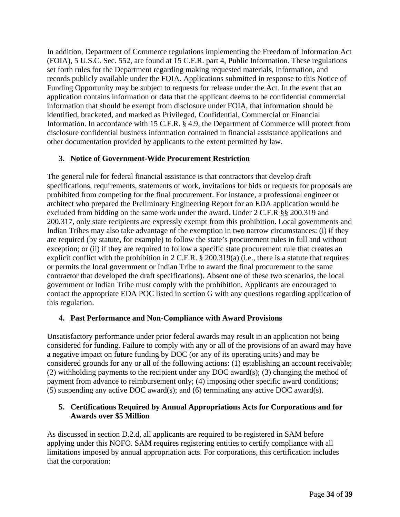In addition, Department of Commerce regulations implementing the Freedom of Information Act (FOIA), 5 U.S.C. Sec. 552, are found at 15 C.F.R. part 4, Public Information. These regulations set forth rules for the Department regarding making requested materials, information, and records publicly available under the FOIA. Applications submitted in response to this Notice of Funding Opportunity may be subject to requests for release under the Act. In the event that an application contains information or data that the applicant deems to be confidential commercial information that should be exempt from disclosure under FOIA, that information should be identified, bracketed, and marked as Privileged, Confidential, Commercial or Financial Information. In accordance with 15 C.F.R. § 4.9, the Department of Commerce will protect from disclosure confidential business information contained in financial assistance applications and other documentation provided by applicants to the extent permitted by law.

### <span id="page-33-0"></span>**3. Notice of Government-Wide Procurement Restriction**

The general rule for federal financial assistance is that contractors that develop draft specifications, requirements, statements of work, invitations for bids or requests for proposals are prohibited from competing for the final procurement. For instance, a professional engineer or architect who prepared the Preliminary Engineering Report for an EDA application would be excluded from bidding on the same work under the award. Under 2 C.F.R §§ 200.319 and 200.317, only state recipients are expressly exempt from this prohibition. Local governments and Indian Tribes may also take advantage of the exemption in two narrow circumstances: (i) if they are required (by statute, for example) to follow the state's procurement rules in full and without exception; or (ii) if they are required to follow a specific state procurement rule that creates an explicit conflict with the prohibition in 2 C.F.R. § 200.319(a) (i.e., there is a statute that requires or permits the local government or Indian Tribe to award the final procurement to the same contractor that developed the draft specifications). Absent one of these two scenarios, the local government or Indian Tribe must comply with the prohibition. Applicants are encouraged to contact the appropriate EDA POC listed in section G with any questions regarding application of this regulation.

### <span id="page-33-1"></span>**4. Past Performance and Non-Compliance with Award Provisions**

Unsatisfactory performance under prior federal awards may result in an application not being considered for funding. Failure to comply with any or all of the provisions of an award may have a negative impact on future funding by DOC (or any of its operating units) and may be considered grounds for any or all of the following actions: (1) establishing an account receivable; (2) withholding payments to the recipient under any DOC award(s); (3) changing the method of payment from advance to reimbursement only; (4) imposing other specific award conditions; (5) suspending any active DOC award(s); and (6) terminating any active DOC award(s).

### <span id="page-33-2"></span>**5. Certifications Required by Annual Appropriations Acts for Corporations and for Awards over \$5 Million**

As discussed in section D.2.d, all applicants are required to be registered in SAM before applying under this NOFO. SAM requires registering entities to certify compliance with all limitations imposed by annual appropriation acts. For corporations, this certification includes that the corporation: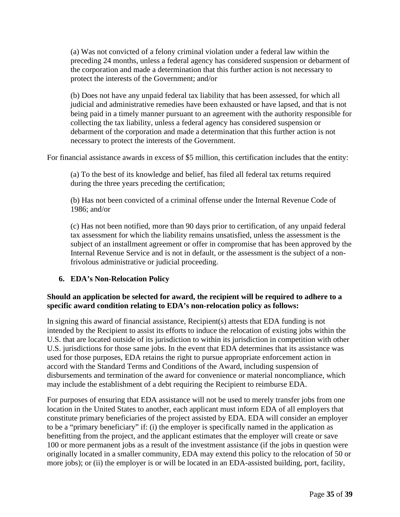(a) Was not convicted of a felony criminal violation under a federal law within the preceding 24 months, unless a federal agency has considered suspension or debarment of the corporation and made a determination that this further action is not necessary to protect the interests of the Government; and/or

(b) Does not have any unpaid federal tax liability that has been assessed, for which all judicial and administrative remedies have been exhausted or have lapsed, and that is not being paid in a timely manner pursuant to an agreement with the authority responsible for collecting the tax liability, unless a federal agency has considered suspension or debarment of the corporation and made a determination that this further action is not necessary to protect the interests of the Government.

For financial assistance awards in excess of \$5 million, this certification includes that the entity:

(a) To the best of its knowledge and belief, has filed all federal tax returns required during the three years preceding the certification;

(b) Has not been convicted of a criminal offense under the Internal Revenue Code of 1986; and/or

(c) Has not been notified, more than 90 days prior to certification, of any unpaid federal tax assessment for which the liability remains unsatisfied, unless the assessment is the subject of an installment agreement or offer in compromise that has been approved by the Internal Revenue Service and is not in default, or the assessment is the subject of a nonfrivolous administrative or judicial proceeding.

### <span id="page-34-0"></span>**6. EDA's Non-Relocation Policy**

### **Should an application be selected for award, the recipient will be required to adhere to a specific award condition relating to EDA's non-relocation policy as follows:**

In signing this award of financial assistance, Recipient(s) attests that EDA funding is not intended by the Recipient to assist its efforts to induce the relocation of existing jobs within the U.S. that are located outside of its jurisdiction to within its jurisdiction in competition with other U.S. jurisdictions for those same jobs. In the event that EDA determines that its assistance was used for those purposes, EDA retains the right to pursue appropriate enforcement action in accord with the Standard Terms and Conditions of the Award, including suspension of disbursements and termination of the award for convenience or material noncompliance, which may include the establishment of a debt requiring the Recipient to reimburse EDA.

For purposes of ensuring that EDA assistance will not be used to merely transfer jobs from one location in the United States to another, each applicant must inform EDA of all employers that constitute primary beneficiaries of the project assisted by EDA. EDA will consider an employer to be a "primary beneficiary" if: (i) the employer is specifically named in the application as benefitting from the project, and the applicant estimates that the employer will create or save 100 or more permanent jobs as a result of the investment assistance (if the jobs in question were originally located in a smaller community, EDA may extend this policy to the relocation of 50 or more jobs); or (ii) the employer is or will be located in an EDA-assisted building, port, facility,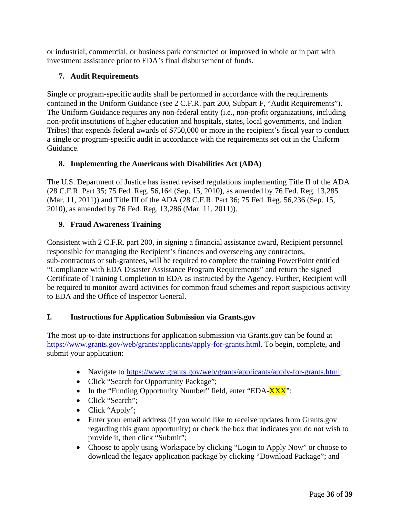or industrial, commercial, or business park constructed or improved in whole or in part with investment assistance prior to EDA's final disbursement of funds.

## <span id="page-35-0"></span>**7. Audit Requirements**

Single or program-specific audits shall be performed in accordance with the requirements contained in the Uniform Guidance (see 2 C.F.R. part 200, Subpart F, "Audit Requirements"). The Uniform Guidance requires any non-federal entity (i.e., non-profit organizations, including non-profit institutions of higher education and hospitals, states, local governments, and Indian Tribes) that expends federal awards of \$750,000 or more in the recipient's fiscal year to conduct a single or program-specific audit in accordance with the requirements set out in the Uniform Guidance.

## <span id="page-35-1"></span>**8. Implementing the Americans with Disabilities Act (ADA)**

The U.S. Department of Justice has issued revised regulations implementing Title II of the ADA (28 C.F.R. Part 35; 75 Fed. Reg. 56,164 (Sep. 15, 2010), as amended by 76 Fed. Reg. 13,285 (Mar. 11, 2011)) and Title III of the ADA (28 C.F.R. Part 36; 75 Fed. Reg. 56,236 (Sep. 15, 2010), as amended by 76 Fed. Reg. 13,286 (Mar. 11, 2011)).

## <span id="page-35-2"></span>**9. Fraud Awareness Training**

Consistent with 2 C.F.R. part 200, in signing a financial assistance award, Recipient personnel responsible for managing the Recipient's finances and overseeing any contractors, sub-contractors or sub-grantees, will be required to complete the training PowerPoint entitled "Compliance with EDA Disaster Assistance Program Requirements" and return the signed Certificate of Training Completion to EDA as instructed by the Agency. Further, Recipient will be required to monitor award activities for common fraud schemes and report suspicious activity to EDA and the Office of Inspector General.

### <span id="page-35-3"></span>**I. Instructions for Application Submission via Grants.gov**

The most up-to-date instructions for application submission via Grants.gov can be found at [https://www.grants.gov/web/grants/applicants/apply-for-grants.html.](https://www.grants.gov/web/grants/applicants/apply-for-grants.html) To begin, complete, and submit your application:

- Navigate to [https://www.grants.gov/web/grants/applicants/apply-for-grants.html;](https://www.grants.gov/web/grants/applicants/apply-for-grants.html)
- Click "Search for Opportunity Package";
- In the "Funding Opportunity Number" field, enter "EDA-XXX";
- Click "Search":
- Click "Apply";
- Enter your email address (if you would like to receive updates from Grants.gov regarding this grant opportunity) or check the box that indicates you do not wish to provide it, then click "Submit";
- Choose to apply using Workspace by clicking "Login to Apply Now" or choose to download the legacy application package by clicking "Download Package"; and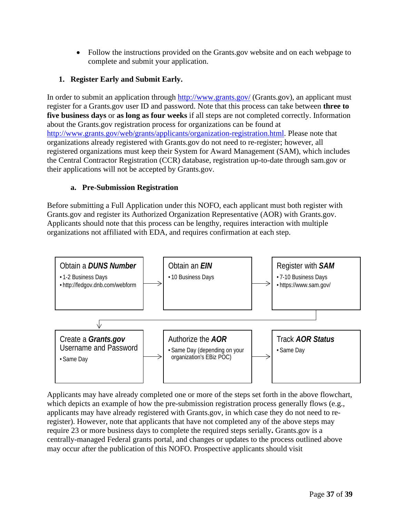• Follow the instructions provided on the Grants.gov website and on each webpage to complete and submit your application.

## <span id="page-36-0"></span>**1. Register Early and Submit Early.**

In order to submit an application through<http://www.grants.gov/> (Grants.gov), an applicant must register for a Grants.gov user ID and password. Note that this process can take between **three to five business days** or **as long as four weeks** if all steps are not completed correctly. Information about the Grants.gov registration process for organizations can be found at [http://www.grants.gov/web/grants/applicants/organization-registration.html.](http://www.grants.gov/web/grants/applicants/organization-registration.html) Please note that organizations already registered with Grants.gov do not need to re-register; however, all registered organizations must keep their System for Award Management (SAM), which includes the Central Contractor Registration (CCR) database, registration up-to-date through sam.gov or their applications will not be accepted by Grants.gov.

### **a. Pre-Submission Registration**

Before submitting a Full Application under this NOFO, each applicant must both register with Grants.gov and register its Authorized Organization Representative (AOR) with Grants.gov. Applicants should note that this process can be lengthy, requires interaction with multiple organizations not affiliated with EDA, and requires confirmation at each step.



Applicants may have already completed one or more of the steps set forth in the above flowchart, which depicts an example of how the pre-submission registration process generally flows (e.g., applicants may have already registered with Grants.gov, in which case they do not need to reregister). However, note that applicants that have not completed any of the above steps may require 23 or more business days to complete the required steps serially**.** Grants.gov is a centrally-managed Federal grants portal, and changes or updates to the process outlined above may occur after the publication of this NOFO. Prospective applicants should visit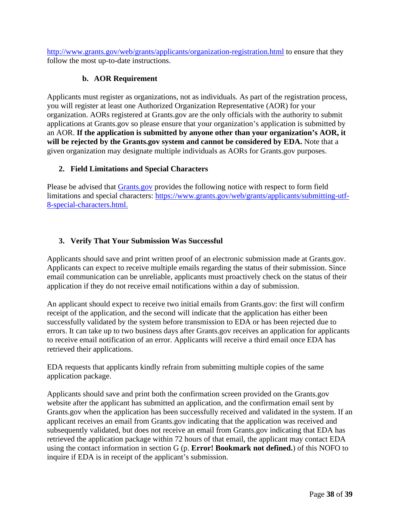<http://www.grants.gov/web/grants/applicants/organization-registration.html> to ensure that they follow the most up-to-date instructions.

### **b. AOR Requirement**

Applicants must register as organizations, not as individuals. As part of the registration process, you will register at least one Authorized Organization Representative (AOR) for your organization. AORs registered at Grants.gov are the only officials with the authority to submit applications at Grants.gov so please ensure that your organization's application is submitted by an AOR. **If the application is submitted by anyone other than your organization's AOR, it will be rejected by the Grants.gov system and cannot be considered by EDA.** Note that a given organization may designate multiple individuals as AORs for Grants.gov purposes.

### <span id="page-37-0"></span>**2. Field Limitations and Special Characters**

Please be advised that [Grants.gov](http://www.grants.gov/) provides the following notice with respect to form field limitations and special characters: [https://www.grants.gov/web/grants/applicants/submitting-utf-](https://www.grants.gov/web/grants/applicants/submitting-utf-8-special-characters.html)[8-special-characters.html.](https://www.grants.gov/web/grants/applicants/submitting-utf-8-special-characters.html)

### <span id="page-37-1"></span>**3. Verify That Your Submission Was Successful**

Applicants should save and print written proof of an electronic submission made at Grants.gov. Applicants can expect to receive multiple emails regarding the status of their submission. Since email communication can be unreliable, applicants must proactively check on the status of their application if they do not receive email notifications within a day of submission.

An applicant should expect to receive two initial emails from Grants.gov: the first will confirm receipt of the application, and the second will indicate that the application has either been successfully validated by the system before transmission to EDA or has been rejected due to errors. It can take up to two business days after Grants.gov receives an application for applicants to receive email notification of an error. Applicants will receive a third email once EDA has retrieved their applications.

EDA requests that applicants kindly refrain from submitting multiple copies of the same application package.

Applicants should save and print both the confirmation screen provided on the Grants.gov website after the applicant has submitted an application, and the confirmation email sent by Grants.gov when the application has been successfully received and validated in the system. If an applicant receives an email from Grants.gov indicating that the application was received and subsequently validated, but does not receive an email from [Grants.gov i](http://www.grants.gov/)ndicating that EDA has retrieved the application package within 72 hours of that email, the applicant may contact EDA using the contact information in section G (p. **Error! Bookmark not defined.**) of this NOFO to inquire if EDA is in receipt of the applicant's submission.